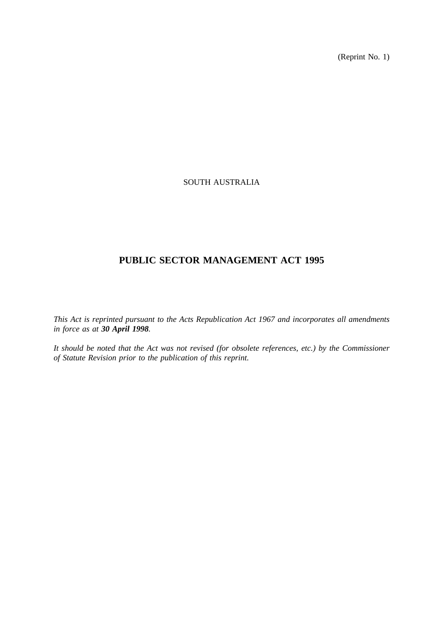(Reprint No. 1)

## SOUTH AUSTRALIA

# **PUBLIC SECTOR MANAGEMENT ACT 1995**

*This Act is reprinted pursuant to the Acts Republication Act 1967 and incorporates all amendments in force as at 30 April 1998.*

*It should be noted that the Act was not revised (for obsolete references, etc.) by the Commissioner of Statute Revision prior to the publication of this reprint.*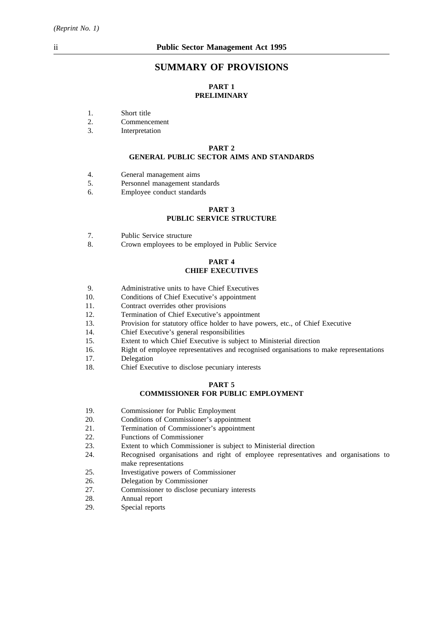## **SUMMARY OF PROVISIONS**

## **PART 1 PRELIMINARY**

- 1. Short title
- 2. Commencement
- 3. Interpretation

#### **PART 2 GENERAL PUBLIC SECTOR AIMS AND STANDARDS**

- 4. General management aims
- 5. Personnel management standards
- 6. Employee conduct standards

## **PART 3 PUBLIC SERVICE STRUCTURE**

- 7. Public Service structure
- 8. Crown employees to be employed in Public Service

#### **PART 4 CHIEF EXECUTIVES**

- 9. Administrative units to have Chief Executives
- 10. Conditions of Chief Executive's appointment
- 11. Contract overrides other provisions
- 12. Termination of Chief Executive's appointment
- 13. Provision for statutory office holder to have powers, etc., of Chief Executive
- 14. Chief Executive's general responsibilities
- 15. Extent to which Chief Executive is subject to Ministerial direction
- 16. Right of employee representatives and recognised organisations to make representations
- 17. Delegation
- 18. Chief Executive to disclose pecuniary interests

#### **PART 5**

## **COMMISSIONER FOR PUBLIC EMPLOYMENT**

- 19. Commissioner for Public Employment
- 20. Conditions of Commissioner's appointment
- 21. Termination of Commissioner's appointment
- 22. Functions of Commissioner
- 23. Extent to which Commissioner is subject to Ministerial direction
- 24. Recognised organisations and right of employee representatives and organisations to make representations
- 25. Investigative powers of Commissioner
- 26. Delegation by Commissioner
- 27. Commissioner to disclose pecuniary interests
- 28. Annual report
- 29. Special reports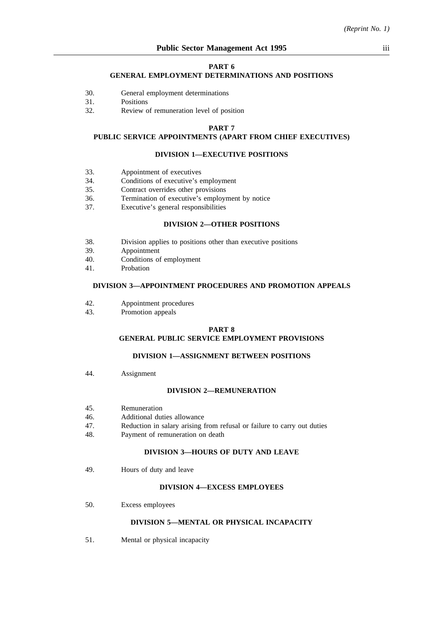#### **PART 6**

#### **GENERAL EMPLOYMENT DETERMINATIONS AND POSITIONS**

- 30. General employment determinations
- 31. Positions
- 32. Review of remuneration level of position

#### **PART 7**

## **PUBLIC SERVICE APPOINTMENTS (APART FROM CHIEF EXECUTIVES)**

#### **DIVISION 1—EXECUTIVE POSITIONS**

- 33. Appointment of executives
- 34. Conditions of executive's employment
- 35. Contract overrides other provisions
- 36. Termination of executive's employment by notice
- 37. Executive's general responsibilities

## **DIVISION 2—OTHER POSITIONS**

- 38. Division applies to positions other than executive positions
- 39. Appointment
- 40. Conditions of employment
- 41. Probation

### **DIVISION 3—APPOINTMENT PROCEDURES AND PROMOTION APPEALS**

- 42. Appointment procedures
- 43. Promotion appeals

#### **PART 8 GENERAL PUBLIC SERVICE EMPLOYMENT PROVISIONS**

### **DIVISION 1—ASSIGNMENT BETWEEN POSITIONS**

44. Assignment

#### **DIVISION 2—REMUNERATION**

- 45. Remuneration
- 46. Additional duties allowance
- 47. Reduction in salary arising from refusal or failure to carry out duties
- 48. Payment of remuneration on death

### **DIVISION 3—HOURS OF DUTY AND LEAVE**

49. Hours of duty and leave

#### **DIVISION 4—EXCESS EMPLOYEES**

50. Excess employees

#### **DIVISION 5—MENTAL OR PHYSICAL INCAPACITY**

51. Mental or physical incapacity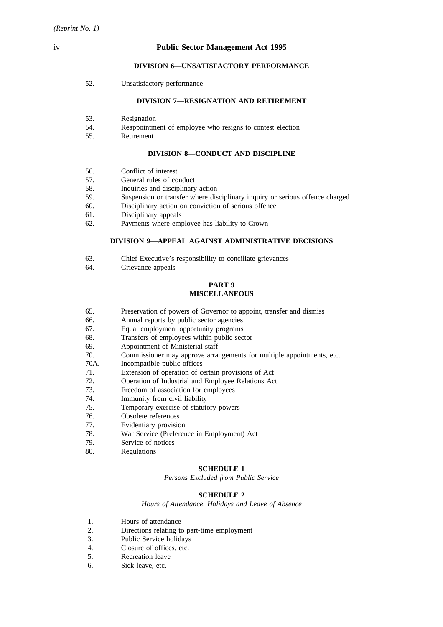#### **DIVISION 6—UNSATISFACTORY PERFORMANCE**

52. Unsatisfactory performance

#### **DIVISION 7—RESIGNATION AND RETIREMENT**

- 53. Resignation
- 54. Reappointment of employee who resigns to contest election
- 55. Retirement

### **DIVISION 8—CONDUCT AND DISCIPLINE**

- 56. Conflict of interest
- 57. General rules of conduct
- 58. Inquiries and disciplinary action
- 59. Suspension or transfer where disciplinary inquiry or serious offence charged
- 60. Disciplinary action on conviction of serious offence
- 61. Disciplinary appeals
- 62. Payments where employee has liability to Crown

### **DIVISION 9—APPEAL AGAINST ADMINISTRATIVE DECISIONS**

- 63. Chief Executive's responsibility to conciliate grievances
- 64. Grievance appeals

#### **PART 9 MISCELLANEOUS**

- 65. Preservation of powers of Governor to appoint, transfer and dismiss
- 66. Annual reports by public sector agencies
- 67. Equal employment opportunity programs
- 68. Transfers of employees within public sector
- 69. Appointment of Ministerial staff
- 70. Commissioner may approve arrangements for multiple appointments, etc.
- 70A. Incompatible public offices
- 71. Extension of operation of certain provisions of Act
- 72. Operation of Industrial and Employee Relations Act
- 73. Freedom of association for employees
- 74. Immunity from civil liability
- 75. Temporary exercise of statutory powers
- 76. Obsolete references
- 77. Evidentiary provision
- 78. War Service (Preference in Employment) Act
- 79. Service of notices
- 80. Regulations

#### **SCHEDULE 1**

*Persons Excluded from Public Service*

#### **SCHEDULE 2**

*Hours of Attendance, Holidays and Leave of Absence*

- 1. Hours of attendance
- 2. Directions relating to part-time employment
- 3. Public Service holidays
- 4. Closure of offices, etc.
- 5. Recreation leave
- 6. Sick leave, etc.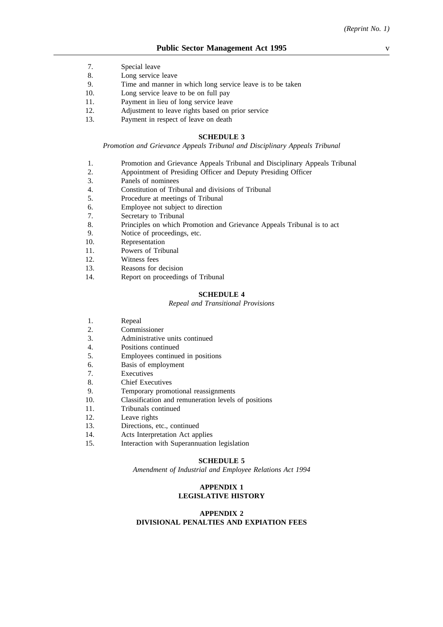- 7. Special leave
- 8. Long service leave
- 9. Time and manner in which long service leave is to be taken
- 10. Long service leave to be on full pay
- 11. Payment in lieu of long service leave
- 12. Adjustment to leave rights based on prior service
- 13. Payment in respect of leave on death

#### **SCHEDULE 3**

*Promotion and Grievance Appeals Tribunal and Disciplinary Appeals Tribunal*

- 1. Promotion and Grievance Appeals Tribunal and Disciplinary Appeals Tribunal
- 2. Appointment of Presiding Officer and Deputy Presiding Officer
- 3. Panels of nominees
- 4. Constitution of Tribunal and divisions of Tribunal
- 5. Procedure at meetings of Tribunal
- 6. Employee not subject to direction
- 7. Secretary to Tribunal
- 8. Principles on which Promotion and Grievance Appeals Tribunal is to act
- 9. Notice of proceedings, etc.
- 10. Representation
- 11. Powers of Tribunal
- 12. Witness fees
- 13. Reasons for decision
- 14. Report on proceedings of Tribunal

#### **SCHEDULE 4**

#### *Repeal and Transitional Provisions*

- 1. Repeal
- 2. Commissioner
- 3. Administrative units continued
- 4. Positions continued
- 5. Employees continued in positions
- 6. Basis of employment
- 7. Executives
- 8. Chief Executives
- 9. Temporary promotional reassignments
- 10. Classification and remuneration levels of positions
- 11. Tribunals continued
- 12. Leave rights
- 13. Directions, etc., continued
- 14. Acts Interpretation Act applies
- 15. Interaction with Superannuation legislation

#### **SCHEDULE 5**

*Amendment of Industrial and Employee Relations Act 1994*

## **APPENDIX 1 LEGISLATIVE HISTORY**

### **APPENDIX 2 DIVISIONAL PENALTIES AND EXPIATION FEES**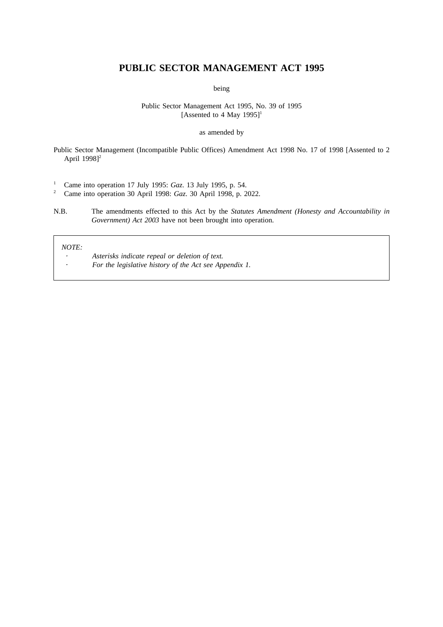## **PUBLIC SECTOR MANAGEMENT ACT 1995**

being

#### Public Sector Management Act 1995, No. 39 of 1995 [Assented to 4 May 1995]<sup>1</sup>

#### as amended by

Public Sector Management (Incompatible Public Offices) Amendment Act 1998 No. 17 of 1998 [Assented to 2 April 1998]<sup>2</sup>

<sup>1</sup> Came into operation 17 July 1995: *Gaz*. 13 July 1995, p. 54.<br><sup>2</sup> Came into operation 30 April 1998: *Gaz*. 30 April 1998, p. 2

<sup>2</sup> Came into operation 30 April 1998: *Gaz*. 30 April 1998, p. 2022.

N.B. The amendments effected to this Act by the *Statutes Amendment (Honesty and Accountability in Government) Act 2003* have not been brought into operation.

#### *NOTE:*

 $\ddot{\phantom{0}}$ 

- *Asterisks indicate repeal or deletion of text.*
- *For the legislative history of the Act see Appendix 1.*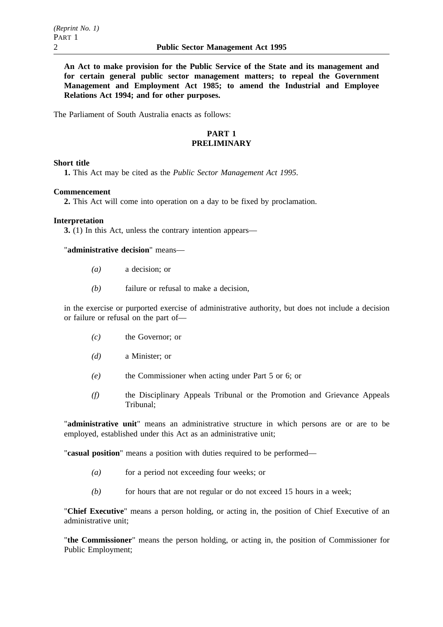**An Act to make provision for the Public Service of the State and its management and for certain general public sector management matters; to repeal the Government Management and Employment Act 1985; to amend the Industrial and Employee Relations Act 1994; and for other purposes.**

The Parliament of South Australia enacts as follows:

## **PART 1 PRELIMINARY**

## **Short title**

**1.** This Act may be cited as the *Public Sector Management Act 1995.*

### **Commencement**

**2.** This Act will come into operation on a day to be fixed by proclamation.

## **Interpretation**

**3.** (1) In this Act, unless the contrary intention appears—

"**administrative decision**" means—

- *(a)* a decision; or
- *(b)* failure or refusal to make a decision,

in the exercise or purported exercise of administrative authority, but does not include a decision or failure or refusal on the part of—

- *(c)* the Governor; or
- *(d)* a Minister; or
- *(e)* the Commissioner when acting under Part 5 or 6; or
- *(f)* the Disciplinary Appeals Tribunal or the Promotion and Grievance Appeals Tribunal;

"**administrative unit**" means an administrative structure in which persons are or are to be employed, established under this Act as an administrative unit;

"**casual position**" means a position with duties required to be performed—

- *(a)* for a period not exceeding four weeks; or
- *(b)* for hours that are not regular or do not exceed 15 hours in a week;

"**Chief Executive**" means a person holding, or acting in, the position of Chief Executive of an administrative unit;

"**the Commissioner**" means the person holding, or acting in, the position of Commissioner for Public Employment;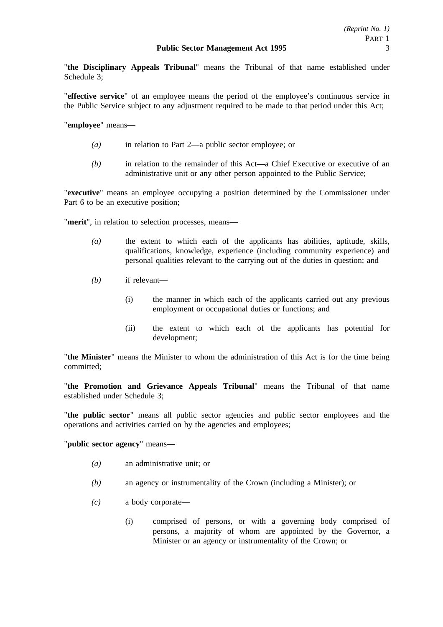"**the Disciplinary Appeals Tribunal**" means the Tribunal of that name established under Schedule 3;

"**effective service**" of an employee means the period of the employee's continuous service in the Public Service subject to any adjustment required to be made to that period under this Act;

"**employee**" means—

- *(a)* in relation to Part 2—a public sector employee; or
- *(b)* in relation to the remainder of this Act—a Chief Executive or executive of an administrative unit or any other person appointed to the Public Service;

"**executive**" means an employee occupying a position determined by the Commissioner under Part 6 to be an executive position;

"**merit**", in relation to selection processes, means—

- *(a)* the extent to which each of the applicants has abilities, aptitude, skills, qualifications, knowledge, experience (including community experience) and personal qualities relevant to the carrying out of the duties in question; and
- *(b)* if relevant—
	- (i) the manner in which each of the applicants carried out any previous employment or occupational duties or functions; and
	- (ii) the extent to which each of the applicants has potential for development;

"**the Minister**" means the Minister to whom the administration of this Act is for the time being committed;

"**the Promotion and Grievance Appeals Tribunal**" means the Tribunal of that name established under Schedule 3;

"**the public sector**" means all public sector agencies and public sector employees and the operations and activities carried on by the agencies and employees;

"**public sector agency**" means—

- *(a)* an administrative unit; or
- *(b)* an agency or instrumentality of the Crown (including a Minister); or
- *(c)* a body corporate—
	- (i) comprised of persons, or with a governing body comprised of persons, a majority of whom are appointed by the Governor, a Minister or an agency or instrumentality of the Crown; or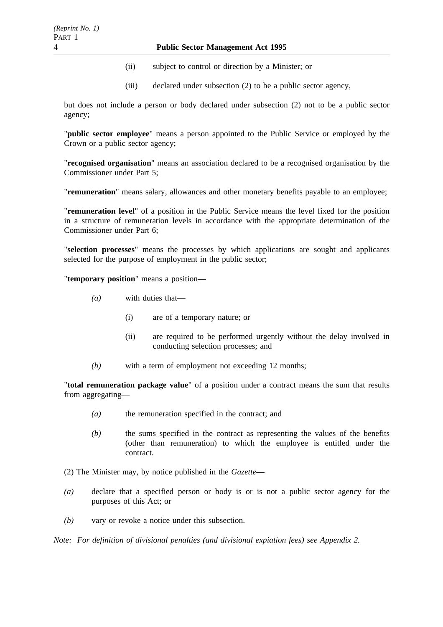- (ii) subject to control or direction by a Minister; or
- (iii) declared under subsection (2) to be a public sector agency,

but does not include a person or body declared under subsection (2) not to be a public sector agency;

"**public sector employee**" means a person appointed to the Public Service or employed by the Crown or a public sector agency;

"**recognised organisation**" means an association declared to be a recognised organisation by the Commissioner under Part 5;

"**remuneration**" means salary, allowances and other monetary benefits payable to an employee;

"**remuneration level**" of a position in the Public Service means the level fixed for the position in a structure of remuneration levels in accordance with the appropriate determination of the Commissioner under Part 6;

"**selection processes**" means the processes by which applications are sought and applicants selected for the purpose of employment in the public sector;

"**temporary position**" means a position—

- *(a)* with duties that—
	- (i) are of a temporary nature; or
	- (ii) are required to be performed urgently without the delay involved in conducting selection processes; and
- *(b)* with a term of employment not exceeding 12 months;

"**total remuneration package value**" of a position under a contract means the sum that results from aggregating—

- *(a)* the remuneration specified in the contract; and
- *(b)* the sums specified in the contract as representing the values of the benefits (other than remuneration) to which the employee is entitled under the contract.
- (2) The Minister may, by notice published in the *Gazette*—
- *(a)* declare that a specified person or body is or is not a public sector agency for the purposes of this Act; or
- *(b)* vary or revoke a notice under this subsection.

*Note: For definition of divisional penalties (and divisional expiation fees) see Appendix 2.*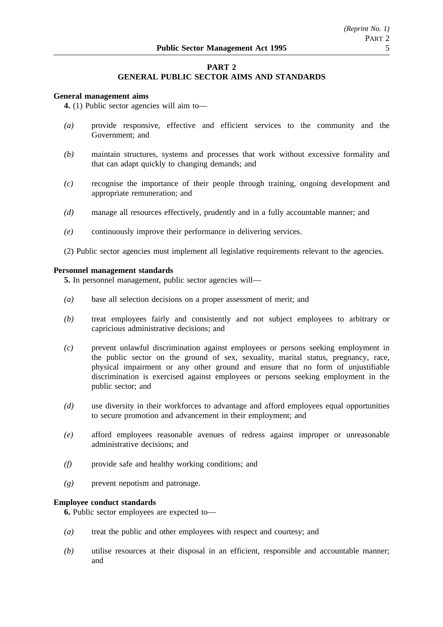## **PART 2**

## **GENERAL PUBLIC SECTOR AIMS AND STANDARDS**

#### **General management aims**

**4.** (1) Public sector agencies will aim to—

- *(a)* provide responsive, effective and efficient services to the community and the Government; and
- *(b)* maintain structures, systems and processes that work without excessive formality and that can adapt quickly to changing demands; and
- *(c)* recognise the importance of their people through training, ongoing development and appropriate remuneration; and
- *(d)* manage all resources effectively, prudently and in a fully accountable manner; and
- *(e)* continuously improve their performance in delivering services.
- (2) Public sector agencies must implement all legislative requirements relevant to the agencies.

#### **Personnel management standards**

**5.** In personnel management, public sector agencies will—

- *(a)* base all selection decisions on a proper assessment of merit; and
- *(b)* treat employees fairly and consistently and not subject employees to arbitrary or capricious administrative decisions; and
- *(c)* prevent unlawful discrimination against employees or persons seeking employment in the public sector on the ground of sex, sexuality, marital status, pregnancy, race, physical impairment or any other ground and ensure that no form of unjustifiable discrimination is exercised against employees or persons seeking employment in the public sector; and
- *(d)* use diversity in their workforces to advantage and afford employees equal opportunities to secure promotion and advancement in their employment; and
- *(e)* afford employees reasonable avenues of redress against improper or unreasonable administrative decisions; and
- *(f)* provide safe and healthy working conditions; and
- *(g)* prevent nepotism and patronage.

## **Employee conduct standards**

**6.** Public sector employees are expected to—

- *(a)* treat the public and other employees with respect and courtesy; and
- *(b)* utilise resources at their disposal in an efficient, responsible and accountable manner; and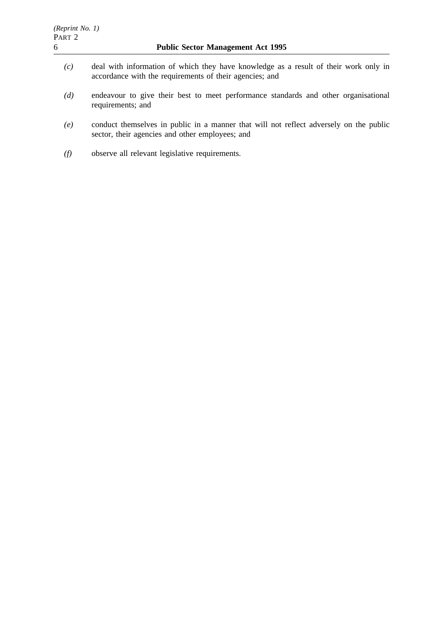- *(c)* deal with information of which they have knowledge as a result of their work only in accordance with the requirements of their agencies; and
- *(d)* endeavour to give their best to meet performance standards and other organisational requirements; and
- *(e)* conduct themselves in public in a manner that will not reflect adversely on the public sector, their agencies and other employees; and
- *(f)* observe all relevant legislative requirements.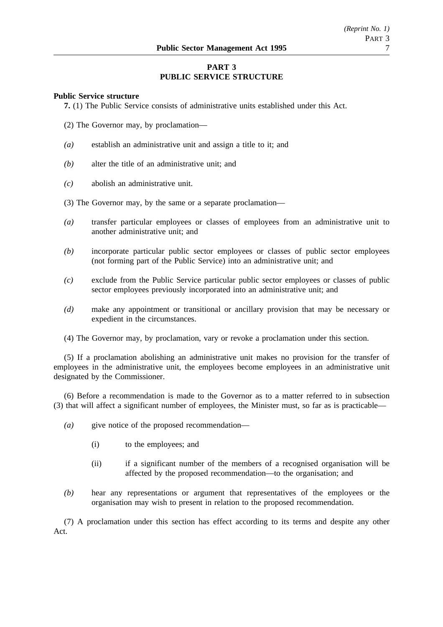## **PART 3 PUBLIC SERVICE STRUCTURE**

### **Public Service structure**

**7.** (1) The Public Service consists of administrative units established under this Act.

- (2) The Governor may, by proclamation—
- *(a)* establish an administrative unit and assign a title to it; and
- *(b)* alter the title of an administrative unit; and
- *(c)* abolish an administrative unit.
- (3) The Governor may, by the same or a separate proclamation—
- *(a)* transfer particular employees or classes of employees from an administrative unit to another administrative unit; and
- *(b)* incorporate particular public sector employees or classes of public sector employees (not forming part of the Public Service) into an administrative unit; and
- *(c)* exclude from the Public Service particular public sector employees or classes of public sector employees previously incorporated into an administrative unit; and
- *(d)* make any appointment or transitional or ancillary provision that may be necessary or expedient in the circumstances.
- (4) The Governor may, by proclamation, vary or revoke a proclamation under this section.

(5) If a proclamation abolishing an administrative unit makes no provision for the transfer of employees in the administrative unit, the employees become employees in an administrative unit designated by the Commissioner.

(6) Before a recommendation is made to the Governor as to a matter referred to in subsection (3) that will affect a significant number of employees, the Minister must, so far as is practicable—

- *(a)* give notice of the proposed recommendation—
	- (i) to the employees; and
	- (ii) if a significant number of the members of a recognised organisation will be affected by the proposed recommendation—to the organisation; and
- *(b)* hear any representations or argument that representatives of the employees or the organisation may wish to present in relation to the proposed recommendation.

(7) A proclamation under this section has effect according to its terms and despite any other Act.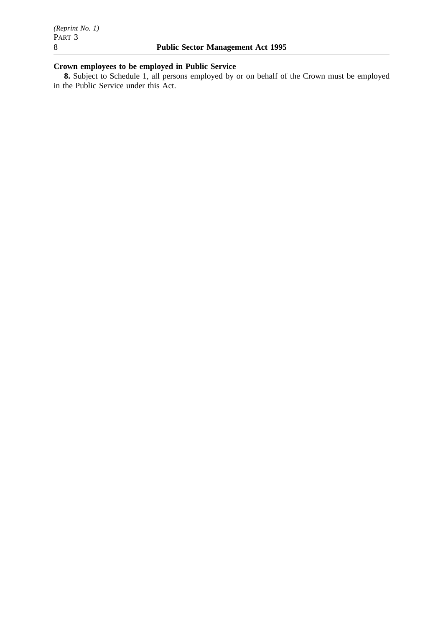# **Crown employees to be employed in Public Service**

**8.** Subject to Schedule 1, all persons employed by or on behalf of the Crown must be employed in the Public Service under this Act.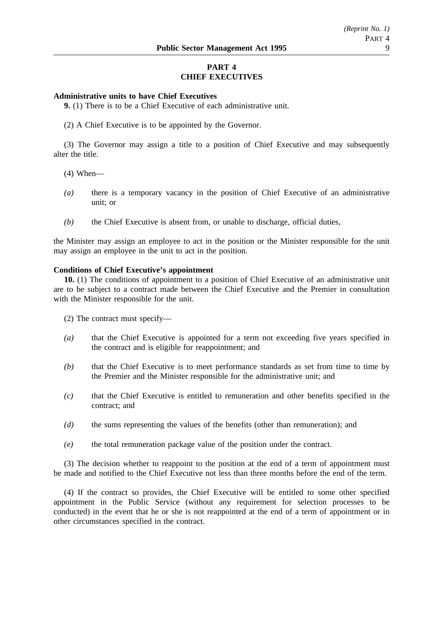## **PART 4 CHIEF EXECUTIVES**

### **Administrative units to have Chief Executives**

**9.** (1) There is to be a Chief Executive of each administrative unit.

(2) A Chief Executive is to be appointed by the Governor.

(3) The Governor may assign a title to a position of Chief Executive and may subsequently alter the title.

- (4) When—
- *(a)* there is a temporary vacancy in the position of Chief Executive of an administrative unit; or
- *(b)* the Chief Executive is absent from, or unable to discharge, official duties,

the Minister may assign an employee to act in the position or the Minister responsible for the unit may assign an employee in the unit to act in the position.

#### **Conditions of Chief Executive's appointment**

**10.** (1) The conditions of appointment to a position of Chief Executive of an administrative unit are to be subject to a contract made between the Chief Executive and the Premier in consultation with the Minister responsible for the unit.

(2) The contract must specify—

- *(a)* that the Chief Executive is appointed for a term not exceeding five years specified in the contract and is eligible for reappointment; and
- *(b)* that the Chief Executive is to meet performance standards as set from time to time by the Premier and the Minister responsible for the administrative unit; and
- *(c)* that the Chief Executive is entitled to remuneration and other benefits specified in the contract; and
- *(d)* the sums representing the values of the benefits (other than remuneration); and
- *(e)* the total remuneration package value of the position under the contract.

(3) The decision whether to reappoint to the position at the end of a term of appointment must be made and notified to the Chief Executive not less than three months before the end of the term.

(4) If the contract so provides, the Chief Executive will be entitled to some other specified appointment in the Public Service (without any requirement for selection processes to be conducted) in the event that he or she is not reappointed at the end of a term of appointment or in other circumstances specified in the contract.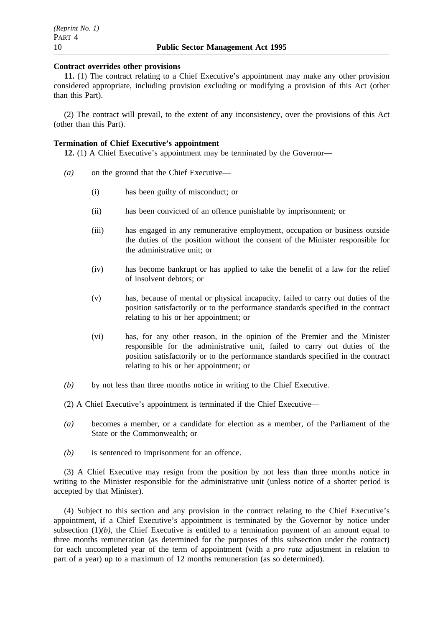### **Contract overrides other provisions**

**11.** (1) The contract relating to a Chief Executive's appointment may make any other provision considered appropriate, including provision excluding or modifying a provision of this Act (other than this Part).

(2) The contract will prevail, to the extent of any inconsistency, over the provisions of this Act (other than this Part).

## **Termination of Chief Executive's appointment**

**12.** (1) A Chief Executive's appointment may be terminated by the Governor—

- *(a)* on the ground that the Chief Executive—
	- (i) has been guilty of misconduct; or
	- (ii) has been convicted of an offence punishable by imprisonment; or
	- (iii) has engaged in any remunerative employment, occupation or business outside the duties of the position without the consent of the Minister responsible for the administrative unit; or
	- (iv) has become bankrupt or has applied to take the benefit of a law for the relief of insolvent debtors; or
	- (v) has, because of mental or physical incapacity, failed to carry out duties of the position satisfactorily or to the performance standards specified in the contract relating to his or her appointment; or
	- (vi) has, for any other reason, in the opinion of the Premier and the Minister responsible for the administrative unit, failed to carry out duties of the position satisfactorily or to the performance standards specified in the contract relating to his or her appointment; or
- *(b)* by not less than three months notice in writing to the Chief Executive.
- (2) A Chief Executive's appointment is terminated if the Chief Executive—
- *(a)* becomes a member, or a candidate for election as a member, of the Parliament of the State or the Commonwealth; or
- *(b)* is sentenced to imprisonment for an offence.

(3) A Chief Executive may resign from the position by not less than three months notice in writing to the Minister responsible for the administrative unit (unless notice of a shorter period is accepted by that Minister).

(4) Subject to this section and any provision in the contract relating to the Chief Executive's appointment, if a Chief Executive's appointment is terminated by the Governor by notice under subsection  $(1)(b)$ , the Chief Executive is entitled to a termination payment of an amount equal to three months remuneration (as determined for the purposes of this subsection under the contract) for each uncompleted year of the term of appointment (with a *pro rata* adjustment in relation to part of a year) up to a maximum of 12 months remuneration (as so determined).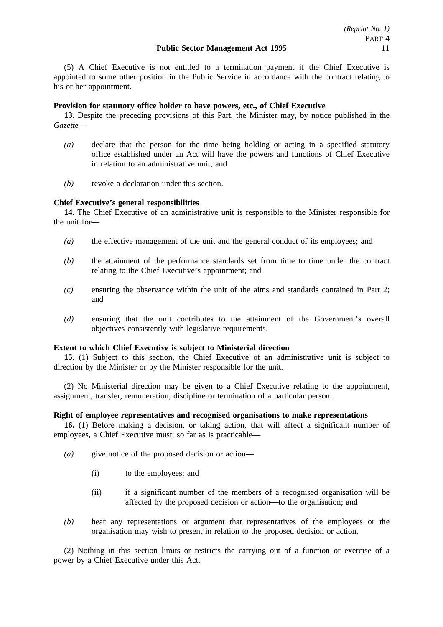(5) A Chief Executive is not entitled to a termination payment if the Chief Executive is appointed to some other position in the Public Service in accordance with the contract relating to his or her appointment.

## **Provision for statutory office holder to have powers, etc., of Chief Executive**

**13.** Despite the preceding provisions of this Part, the Minister may, by notice published in the *Gazette*—

- *(a)* declare that the person for the time being holding or acting in a specified statutory office established under an Act will have the powers and functions of Chief Executive in relation to an administrative unit; and
- *(b)* revoke a declaration under this section.

### **Chief Executive's general responsibilities**

**14.** The Chief Executive of an administrative unit is responsible to the Minister responsible for the unit for—

- *(a)* the effective management of the unit and the general conduct of its employees; and
- *(b)* the attainment of the performance standards set from time to time under the contract relating to the Chief Executive's appointment; and
- *(c)* ensuring the observance within the unit of the aims and standards contained in Part 2; and
- *(d)* ensuring that the unit contributes to the attainment of the Government's overall objectives consistently with legislative requirements.

### **Extent to which Chief Executive is subject to Ministerial direction**

**15.** (1) Subject to this section, the Chief Executive of an administrative unit is subject to direction by the Minister or by the Minister responsible for the unit.

(2) No Ministerial direction may be given to a Chief Executive relating to the appointment, assignment, transfer, remuneration, discipline or termination of a particular person.

### **Right of employee representatives and recognised organisations to make representations**

**16.** (1) Before making a decision, or taking action, that will affect a significant number of employees, a Chief Executive must, so far as is practicable—

- *(a)* give notice of the proposed decision or action—
	- (i) to the employees; and
	- (ii) if a significant number of the members of a recognised organisation will be affected by the proposed decision or action—to the organisation; and
- *(b)* hear any representations or argument that representatives of the employees or the organisation may wish to present in relation to the proposed decision or action.

(2) Nothing in this section limits or restricts the carrying out of a function or exercise of a power by a Chief Executive under this Act.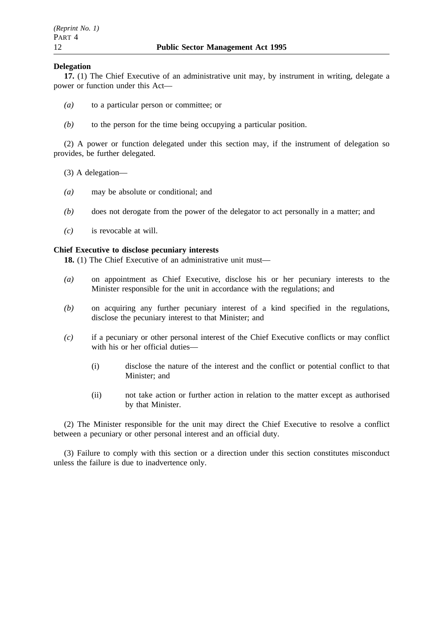## **Delegation**

**17.** (1) The Chief Executive of an administrative unit may, by instrument in writing, delegate a power or function under this Act—

- *(a)* to a particular person or committee; or
- *(b)* to the person for the time being occupying a particular position.

(2) A power or function delegated under this section may, if the instrument of delegation so provides, be further delegated.

- (3) A delegation—
- *(a)* may be absolute or conditional; and
- *(b)* does not derogate from the power of the delegator to act personally in a matter; and
- *(c)* is revocable at will.

### **Chief Executive to disclose pecuniary interests**

**18.** (1) The Chief Executive of an administrative unit must—

- *(a)* on appointment as Chief Executive, disclose his or her pecuniary interests to the Minister responsible for the unit in accordance with the regulations; and
- *(b)* on acquiring any further pecuniary interest of a kind specified in the regulations, disclose the pecuniary interest to that Minister; and
- *(c)* if a pecuniary or other personal interest of the Chief Executive conflicts or may conflict with his or her official duties—
	- (i) disclose the nature of the interest and the conflict or potential conflict to that Minister; and
	- (ii) not take action or further action in relation to the matter except as authorised by that Minister.

(2) The Minister responsible for the unit may direct the Chief Executive to resolve a conflict between a pecuniary or other personal interest and an official duty.

(3) Failure to comply with this section or a direction under this section constitutes misconduct unless the failure is due to inadvertence only.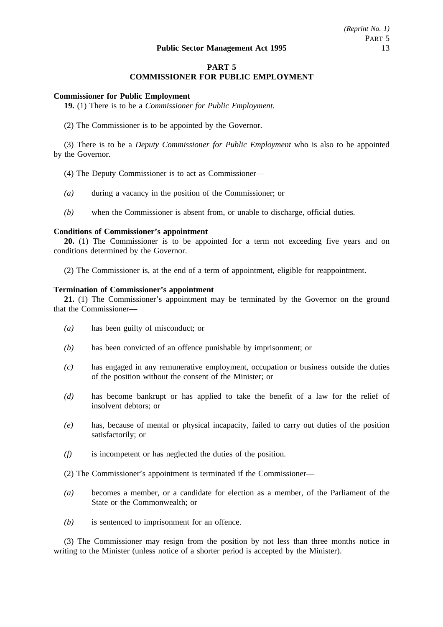## **PART 5 COMMISSIONER FOR PUBLIC EMPLOYMENT**

### **Commissioner for Public Employment**

**19.** (1) There is to be a *Commissioner for Public Employment*.

(2) The Commissioner is to be appointed by the Governor.

(3) There is to be a *Deputy Commissioner for Public Employment* who is also to be appointed by the Governor.

- (4) The Deputy Commissioner is to act as Commissioner—
- *(a)* during a vacancy in the position of the Commissioner; or
- *(b)* when the Commissioner is absent from, or unable to discharge, official duties.

#### **Conditions of Commissioner's appointment**

**20.** (1) The Commissioner is to be appointed for a term not exceeding five years and on conditions determined by the Governor.

(2) The Commissioner is, at the end of a term of appointment, eligible for reappointment.

## **Termination of Commissioner's appointment**

**21.** (1) The Commissioner's appointment may be terminated by the Governor on the ground that the Commissioner—

- *(a)* has been guilty of misconduct; or
- *(b)* has been convicted of an offence punishable by imprisonment; or
- *(c)* has engaged in any remunerative employment, occupation or business outside the duties of the position without the consent of the Minister; or
- *(d)* has become bankrupt or has applied to take the benefit of a law for the relief of insolvent debtors; or
- *(e)* has, because of mental or physical incapacity, failed to carry out duties of the position satisfactorily; or
- *(f)* is incompetent or has neglected the duties of the position.
- (2) The Commissioner's appointment is terminated if the Commissioner—
- *(a)* becomes a member, or a candidate for election as a member, of the Parliament of the State or the Commonwealth; or
- *(b)* is sentenced to imprisonment for an offence.

(3) The Commissioner may resign from the position by not less than three months notice in writing to the Minister (unless notice of a shorter period is accepted by the Minister).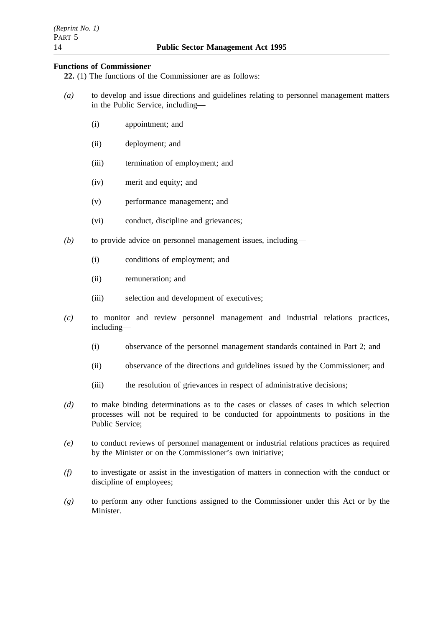## **Functions of Commissioner**

**22.** (1) The functions of the Commissioner are as follows:

- *(a)* to develop and issue directions and guidelines relating to personnel management matters in the Public Service, including—
	- (i) appointment; and
	- (ii) deployment; and
	- (iii) termination of employment; and
	- (iv) merit and equity; and
	- (v) performance management; and
	- (vi) conduct, discipline and grievances;
- *(b)* to provide advice on personnel management issues, including—
	- (i) conditions of employment; and
	- (ii) remuneration; and
	- (iii) selection and development of executives;
- *(c)* to monitor and review personnel management and industrial relations practices, including—
	- (i) observance of the personnel management standards contained in Part 2; and
	- (ii) observance of the directions and guidelines issued by the Commissioner; and
	- (iii) the resolution of grievances in respect of administrative decisions;
- *(d)* to make binding determinations as to the cases or classes of cases in which selection processes will not be required to be conducted for appointments to positions in the Public Service;
- *(e)* to conduct reviews of personnel management or industrial relations practices as required by the Minister or on the Commissioner's own initiative;
- *(f)* to investigate or assist in the investigation of matters in connection with the conduct or discipline of employees;
- *(g)* to perform any other functions assigned to the Commissioner under this Act or by the **Minister**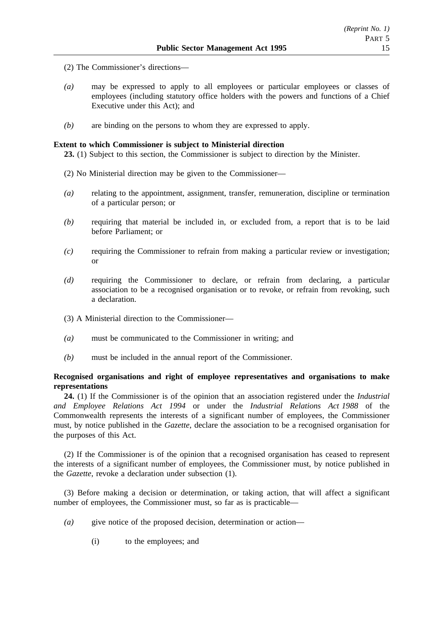- (2) The Commissioner's directions—
- *(a)* may be expressed to apply to all employees or particular employees or classes of employees (including statutory office holders with the powers and functions of a Chief Executive under this Act); and
- *(b)* are binding on the persons to whom they are expressed to apply.

### **Extent to which Commissioner is subject to Ministerial direction**

**23.** (1) Subject to this section, the Commissioner is subject to direction by the Minister.

- (2) No Ministerial direction may be given to the Commissioner—
- *(a)* relating to the appointment, assignment, transfer, remuneration, discipline or termination of a particular person; or
- *(b)* requiring that material be included in, or excluded from, a report that is to be laid before Parliament; or
- *(c)* requiring the Commissioner to refrain from making a particular review or investigation; or
- *(d)* requiring the Commissioner to declare, or refrain from declaring, a particular association to be a recognised organisation or to revoke, or refrain from revoking, such a declaration.
- (3) A Ministerial direction to the Commissioner—
- *(a)* must be communicated to the Commissioner in writing; and
- *(b)* must be included in the annual report of the Commissioner.

## **Recognised organisations and right of employee representatives and organisations to make representations**

**24.** (1) If the Commissioner is of the opinion that an association registered under the *Industrial and Employee Relations Act 1994* or under the *Industrial Relations Act 1988* of the Commonwealth represents the interests of a significant number of employees, the Commissioner must, by notice published in the *Gazette*, declare the association to be a recognised organisation for the purposes of this Act.

(2) If the Commissioner is of the opinion that a recognised organisation has ceased to represent the interests of a significant number of employees, the Commissioner must, by notice published in the *Gazette*, revoke a declaration under subsection (1).

(3) Before making a decision or determination, or taking action, that will affect a significant number of employees, the Commissioner must, so far as is practicable—

- *(a)* give notice of the proposed decision, determination or action—
	- (i) to the employees; and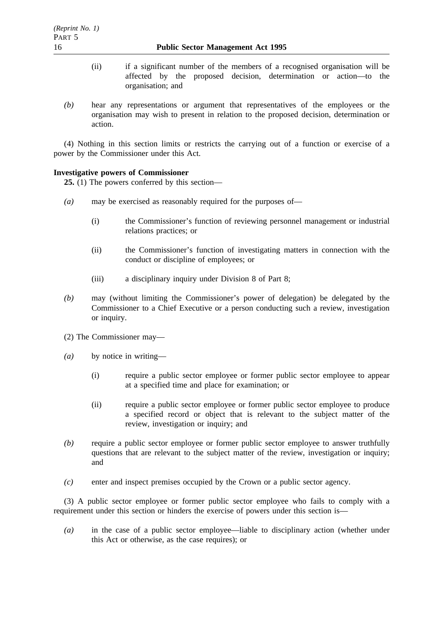- (ii) if a significant number of the members of a recognised organisation will be affected by the proposed decision, determination or action—to the organisation; and
- *(b)* hear any representations or argument that representatives of the employees or the organisation may wish to present in relation to the proposed decision, determination or action.

(4) Nothing in this section limits or restricts the carrying out of a function or exercise of a power by the Commissioner under this Act.

## **Investigative powers of Commissioner**

**25.** (1) The powers conferred by this section—

- *(a)* may be exercised as reasonably required for the purposes of—
	- (i) the Commissioner's function of reviewing personnel management or industrial relations practices; or
	- (ii) the Commissioner's function of investigating matters in connection with the conduct or discipline of employees; or
	- (iii) a disciplinary inquiry under Division 8 of Part 8;
- *(b)* may (without limiting the Commissioner's power of delegation) be delegated by the Commissioner to a Chief Executive or a person conducting such a review, investigation or inquiry.
- (2) The Commissioner may—
- *(a)* by notice in writing—
	- (i) require a public sector employee or former public sector employee to appear at a specified time and place for examination; or
	- (ii) require a public sector employee or former public sector employee to produce a specified record or object that is relevant to the subject matter of the review, investigation or inquiry; and
- *(b)* require a public sector employee or former public sector employee to answer truthfully questions that are relevant to the subject matter of the review, investigation or inquiry; and
- *(c)* enter and inspect premises occupied by the Crown or a public sector agency.

(3) A public sector employee or former public sector employee who fails to comply with a requirement under this section or hinders the exercise of powers under this section is—

*(a)* in the case of a public sector employee—liable to disciplinary action (whether under this Act or otherwise, as the case requires); or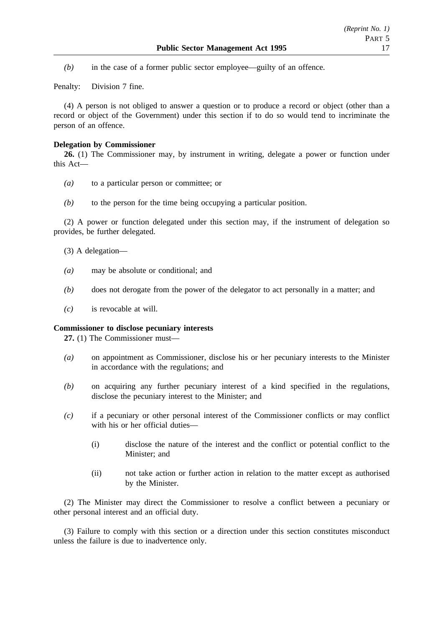*(b)* in the case of a former public sector employee—guilty of an offence.

Penalty: Division 7 fine.

(4) A person is not obliged to answer a question or to produce a record or object (other than a record or object of the Government) under this section if to do so would tend to incriminate the person of an offence.

## **Delegation by Commissioner**

**26.** (1) The Commissioner may, by instrument in writing, delegate a power or function under this Act—

- *(a)* to a particular person or committee; or
- *(b)* to the person for the time being occupying a particular position.

(2) A power or function delegated under this section may, if the instrument of delegation so provides, be further delegated.

- (3) A delegation—
- *(a)* may be absolute or conditional; and
- *(b)* does not derogate from the power of the delegator to act personally in a matter; and
- *(c)* is revocable at will.

### **Commissioner to disclose pecuniary interests**

**27.** (1) The Commissioner must—

- *(a)* on appointment as Commissioner, disclose his or her pecuniary interests to the Minister in accordance with the regulations; and
- *(b)* on acquiring any further pecuniary interest of a kind specified in the regulations, disclose the pecuniary interest to the Minister; and
- *(c)* if a pecuniary or other personal interest of the Commissioner conflicts or may conflict with his or her official duties—
	- (i) disclose the nature of the interest and the conflict or potential conflict to the Minister; and
	- (ii) not take action or further action in relation to the matter except as authorised by the Minister.

(2) The Minister may direct the Commissioner to resolve a conflict between a pecuniary or other personal interest and an official duty.

(3) Failure to comply with this section or a direction under this section constitutes misconduct unless the failure is due to inadvertence only.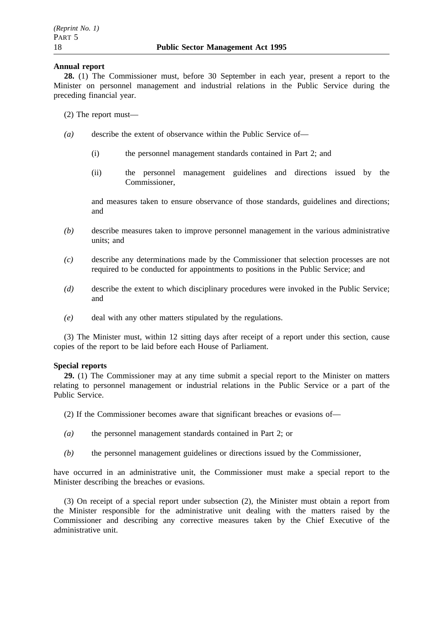## **Annual report**

**28.** (1) The Commissioner must, before 30 September in each year, present a report to the Minister on personnel management and industrial relations in the Public Service during the preceding financial year.

- (2) The report must—
- *(a)* describe the extent of observance within the Public Service of—
	- (i) the personnel management standards contained in Part 2; and
	- (ii) the personnel management guidelines and directions issued by the Commissioner,

and measures taken to ensure observance of those standards, guidelines and directions; and

- *(b)* describe measures taken to improve personnel management in the various administrative units; and
- *(c)* describe any determinations made by the Commissioner that selection processes are not required to be conducted for appointments to positions in the Public Service; and
- *(d)* describe the extent to which disciplinary procedures were invoked in the Public Service; and
- *(e)* deal with any other matters stipulated by the regulations.

(3) The Minister must, within 12 sitting days after receipt of a report under this section, cause copies of the report to be laid before each House of Parliament.

### **Special reports**

**29.** (1) The Commissioner may at any time submit a special report to the Minister on matters relating to personnel management or industrial relations in the Public Service or a part of the Public Service.

- (2) If the Commissioner becomes aware that significant breaches or evasions of—
- *(a)* the personnel management standards contained in Part 2; or
- *(b)* the personnel management guidelines or directions issued by the Commissioner,

have occurred in an administrative unit, the Commissioner must make a special report to the Minister describing the breaches or evasions.

(3) On receipt of a special report under subsection (2), the Minister must obtain a report from the Minister responsible for the administrative unit dealing with the matters raised by the Commissioner and describing any corrective measures taken by the Chief Executive of the administrative unit.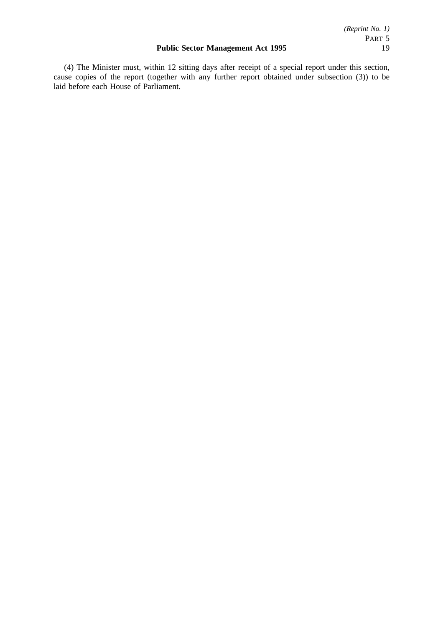(4) The Minister must, within 12 sitting days after receipt of a special report under this section, cause copies of the report (together with any further report obtained under subsection (3)) to be laid before each House of Parliament.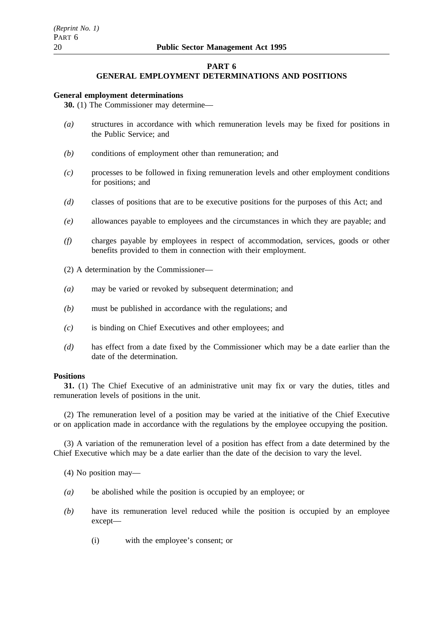## **PART 6**

### **GENERAL EMPLOYMENT DETERMINATIONS AND POSITIONS**

#### **General employment determinations**

**30.** (1) The Commissioner may determine—

- *(a)* structures in accordance with which remuneration levels may be fixed for positions in the Public Service; and
- *(b)* conditions of employment other than remuneration; and
- *(c)* processes to be followed in fixing remuneration levels and other employment conditions for positions; and
- *(d)* classes of positions that are to be executive positions for the purposes of this Act; and
- *(e)* allowances payable to employees and the circumstances in which they are payable; and
- *(f)* charges payable by employees in respect of accommodation, services, goods or other benefits provided to them in connection with their employment.
- (2) A determination by the Commissioner—
- *(a)* may be varied or revoked by subsequent determination; and
- *(b)* must be published in accordance with the regulations; and
- *(c)* is binding on Chief Executives and other employees; and
- *(d)* has effect from a date fixed by the Commissioner which may be a date earlier than the date of the determination.

### **Positions**

**31.** (1) The Chief Executive of an administrative unit may fix or vary the duties, titles and remuneration levels of positions in the unit.

(2) The remuneration level of a position may be varied at the initiative of the Chief Executive or on application made in accordance with the regulations by the employee occupying the position.

(3) A variation of the remuneration level of a position has effect from a date determined by the Chief Executive which may be a date earlier than the date of the decision to vary the level.

(4) No position may—

- *(a)* be abolished while the position is occupied by an employee; or
- *(b)* have its remuneration level reduced while the position is occupied by an employee except—
	- (i) with the employee's consent; or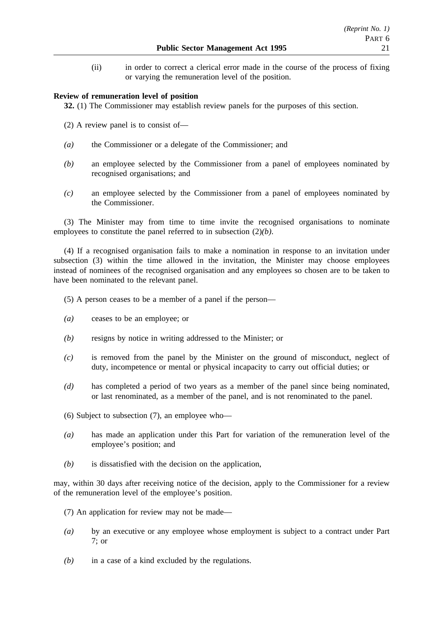(ii) in order to correct a clerical error made in the course of the process of fixing or varying the remuneration level of the position.

## **Review of remuneration level of position**

**32.** (1) The Commissioner may establish review panels for the purposes of this section.

- (2) A review panel is to consist of—
- *(a)* the Commissioner or a delegate of the Commissioner; and
- *(b)* an employee selected by the Commissioner from a panel of employees nominated by recognised organisations; and
- *(c)* an employee selected by the Commissioner from a panel of employees nominated by the Commissioner.

(3) The Minister may from time to time invite the recognised organisations to nominate employees to constitute the panel referred to in subsection (2)*(b)*.

(4) If a recognised organisation fails to make a nomination in response to an invitation under subsection (3) within the time allowed in the invitation, the Minister may choose employees instead of nominees of the recognised organisation and any employees so chosen are to be taken to have been nominated to the relevant panel.

- (5) A person ceases to be a member of a panel if the person—
- *(a)* ceases to be an employee; or
- *(b)* resigns by notice in writing addressed to the Minister; or
- *(c)* is removed from the panel by the Minister on the ground of misconduct, neglect of duty, incompetence or mental or physical incapacity to carry out official duties; or
- *(d)* has completed a period of two years as a member of the panel since being nominated, or last renominated, as a member of the panel, and is not renominated to the panel.
- (6) Subject to subsection (7), an employee who—
- *(a)* has made an application under this Part for variation of the remuneration level of the employee's position; and
- *(b)* is dissatisfied with the decision on the application,

may, within 30 days after receiving notice of the decision, apply to the Commissioner for a review of the remuneration level of the employee's position.

- (7) An application for review may not be made—
- *(a)* by an executive or any employee whose employment is subject to a contract under Part 7; or
- *(b)* in a case of a kind excluded by the regulations.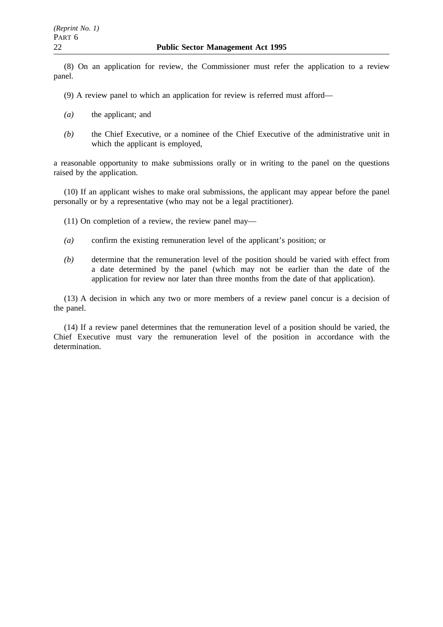(8) On an application for review, the Commissioner must refer the application to a review panel.

(9) A review panel to which an application for review is referred must afford—

- *(a)* the applicant; and
- *(b)* the Chief Executive, or a nominee of the Chief Executive of the administrative unit in which the applicant is employed,

a reasonable opportunity to make submissions orally or in writing to the panel on the questions raised by the application.

(10) If an applicant wishes to make oral submissions, the applicant may appear before the panel personally or by a representative (who may not be a legal practitioner).

(11) On completion of a review, the review panel may—

- *(a)* confirm the existing remuneration level of the applicant's position; or
- *(b)* determine that the remuneration level of the position should be varied with effect from a date determined by the panel (which may not be earlier than the date of the application for review nor later than three months from the date of that application).

(13) A decision in which any two or more members of a review panel concur is a decision of the panel.

(14) If a review panel determines that the remuneration level of a position should be varied, the Chief Executive must vary the remuneration level of the position in accordance with the determination.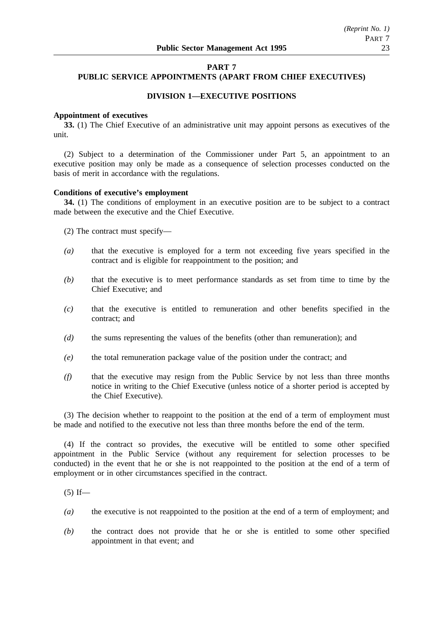# **PART 7**

# **PUBLIC SERVICE APPOINTMENTS (APART FROM CHIEF EXECUTIVES)**

## **DIVISION 1—EXECUTIVE POSITIONS**

### **Appointment of executives**

**33.** (1) The Chief Executive of an administrative unit may appoint persons as executives of the unit.

(2) Subject to a determination of the Commissioner under Part 5, an appointment to an executive position may only be made as a consequence of selection processes conducted on the basis of merit in accordance with the regulations.

## **Conditions of executive's employment**

**34.** (1) The conditions of employment in an executive position are to be subject to a contract made between the executive and the Chief Executive.

(2) The contract must specify—

- *(a)* that the executive is employed for a term not exceeding five years specified in the contract and is eligible for reappointment to the position; and
- *(b)* that the executive is to meet performance standards as set from time to time by the Chief Executive; and
- *(c)* that the executive is entitled to remuneration and other benefits specified in the contract; and
- *(d)* the sums representing the values of the benefits (other than remuneration); and
- *(e)* the total remuneration package value of the position under the contract; and
- *(f)* that the executive may resign from the Public Service by not less than three months notice in writing to the Chief Executive (unless notice of a shorter period is accepted by the Chief Executive).

(3) The decision whether to reappoint to the position at the end of a term of employment must be made and notified to the executive not less than three months before the end of the term.

(4) If the contract so provides, the executive will be entitled to some other specified appointment in the Public Service (without any requirement for selection processes to be conducted) in the event that he or she is not reappointed to the position at the end of a term of employment or in other circumstances specified in the contract.

 $(5)$  If—

- *(a)* the executive is not reappointed to the position at the end of a term of employment; and
- *(b)* the contract does not provide that he or she is entitled to some other specified appointment in that event; and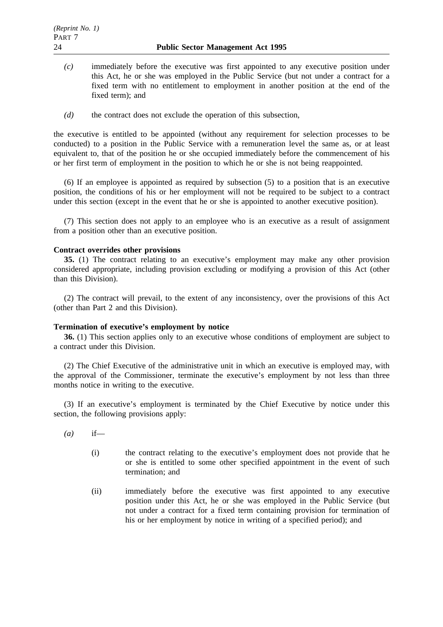- *(c)* immediately before the executive was first appointed to any executive position under this Act, he or she was employed in the Public Service (but not under a contract for a fixed term with no entitlement to employment in another position at the end of the fixed term); and
- *(d)* the contract does not exclude the operation of this subsection,

the executive is entitled to be appointed (without any requirement for selection processes to be conducted) to a position in the Public Service with a remuneration level the same as, or at least equivalent to, that of the position he or she occupied immediately before the commencement of his or her first term of employment in the position to which he or she is not being reappointed.

(6) If an employee is appointed as required by subsection (5) to a position that is an executive position, the conditions of his or her employment will not be required to be subject to a contract under this section (except in the event that he or she is appointed to another executive position).

(7) This section does not apply to an employee who is an executive as a result of assignment from a position other than an executive position.

## **Contract overrides other provisions**

**35.** (1) The contract relating to an executive's employment may make any other provision considered appropriate, including provision excluding or modifying a provision of this Act (other than this Division).

(2) The contract will prevail, to the extent of any inconsistency, over the provisions of this Act (other than Part 2 and this Division).

### **Termination of executive's employment by notice**

**36.** (1) This section applies only to an executive whose conditions of employment are subject to a contract under this Division.

(2) The Chief Executive of the administrative unit in which an executive is employed may, with the approval of the Commissioner, terminate the executive's employment by not less than three months notice in writing to the executive.

(3) If an executive's employment is terminated by the Chief Executive by notice under this section, the following provisions apply:

- *(a)* if—
	- (i) the contract relating to the executive's employment does not provide that he or she is entitled to some other specified appointment in the event of such termination; and
	- (ii) immediately before the executive was first appointed to any executive position under this Act, he or she was employed in the Public Service (but not under a contract for a fixed term containing provision for termination of his or her employment by notice in writing of a specified period); and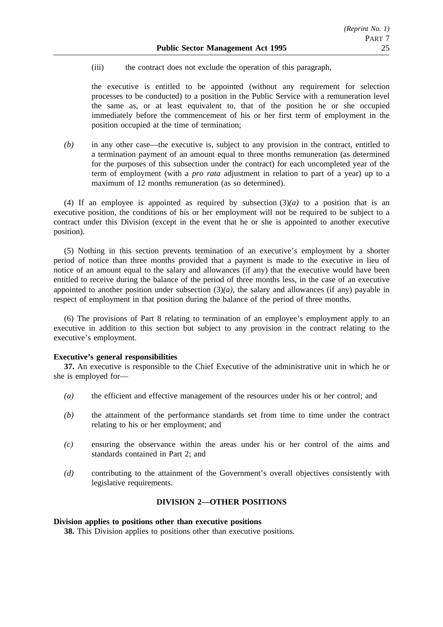(iii) the contract does not exclude the operation of this paragraph,

the executive is entitled to be appointed (without any requirement for selection processes to be conducted) to a position in the Public Service with a remuneration level the same as, or at least equivalent to, that of the position he or she occupied immediately before the commencement of his or her first term of employment in the position occupied at the time of termination;

*(b)* in any other case—the executive is, subject to any provision in the contract, entitled to a termination payment of an amount equal to three months remuneration (as determined for the purposes of this subsection under the contract) for each uncompleted year of the term of employment (with a *pro rata* adjustment in relation to part of a year) up to a maximum of 12 months remuneration (as so determined).

(4) If an employee is appointed as required by subsection  $(3)(a)$  to a position that is an executive position, the conditions of his or her employment will not be required to be subject to a contract under this Division (except in the event that he or she is appointed to another executive position).

(5) Nothing in this section prevents termination of an executive's employment by a shorter period of notice than three months provided that a payment is made to the executive in lieu of notice of an amount equal to the salary and allowances (if any) that the executive would have been entitled to receive during the balance of the period of three months less, in the case of an executive appointed to another position under subsection  $(3)(a)$ , the salary and allowances (if any) payable in respect of employment in that position during the balance of the period of three months.

(6) The provisions of Part 8 relating to termination of an employee's employment apply to an executive in addition to this section but subject to any provision in the contract relating to the executive's employment.

## **Executive's general responsibilities**

**37.** An executive is responsible to the Chief Executive of the administrative unit in which he or she is employed for—

- *(a)* the efficient and effective management of the resources under his or her control; and
- *(b)* the attainment of the performance standards set from time to time under the contract relating to his or her employment; and
- *(c)* ensuring the observance within the areas under his or her control of the aims and standards contained in Part 2; and
- *(d)* contributing to the attainment of the Government's overall objectives consistently with legislative requirements.

### **DIVISION 2—OTHER POSITIONS**

### **Division applies to positions other than executive positions**

**38.** This Division applies to positions other than executive positions.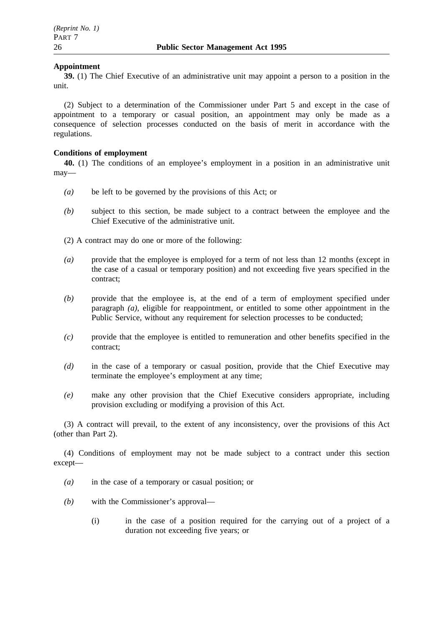## **Appointment**

**39.** (1) The Chief Executive of an administrative unit may appoint a person to a position in the unit.

(2) Subject to a determination of the Commissioner under Part 5 and except in the case of appointment to a temporary or casual position, an appointment may only be made as a consequence of selection processes conducted on the basis of merit in accordance with the regulations.

## **Conditions of employment**

**40.** (1) The conditions of an employee's employment in a position in an administrative unit may—

- *(a)* be left to be governed by the provisions of this Act; or
- *(b)* subject to this section, be made subject to a contract between the employee and the Chief Executive of the administrative unit.
- (2) A contract may do one or more of the following:
- *(a)* provide that the employee is employed for a term of not less than 12 months (except in the case of a casual or temporary position) and not exceeding five years specified in the contract;
- *(b)* provide that the employee is, at the end of a term of employment specified under paragraph *(a)*, eligible for reappointment, or entitled to some other appointment in the Public Service, without any requirement for selection processes to be conducted;
- *(c)* provide that the employee is entitled to remuneration and other benefits specified in the contract;
- *(d)* in the case of a temporary or casual position, provide that the Chief Executive may terminate the employee's employment at any time;
- *(e)* make any other provision that the Chief Executive considers appropriate, including provision excluding or modifying a provision of this Act.

(3) A contract will prevail, to the extent of any inconsistency, over the provisions of this Act (other than Part 2).

(4) Conditions of employment may not be made subject to a contract under this section except—

- *(a)* in the case of a temporary or casual position; or
- *(b)* with the Commissioner's approval—
	- (i) in the case of a position required for the carrying out of a project of a duration not exceeding five years; or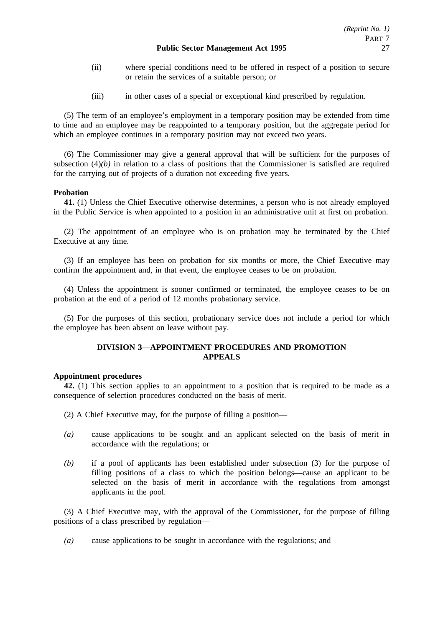- (ii) where special conditions need to be offered in respect of a position to secure or retain the services of a suitable person; or
- (iii) in other cases of a special or exceptional kind prescribed by regulation.

(5) The term of an employee's employment in a temporary position may be extended from time to time and an employee may be reappointed to a temporary position, but the aggregate period for which an employee continues in a temporary position may not exceed two years.

(6) The Commissioner may give a general approval that will be sufficient for the purposes of subsection  $(4)(b)$  in relation to a class of positions that the Commissioner is satisfied are required for the carrying out of projects of a duration not exceeding five years.

### **Probation**

**41.** (1) Unless the Chief Executive otherwise determines, a person who is not already employed in the Public Service is when appointed to a position in an administrative unit at first on probation.

(2) The appointment of an employee who is on probation may be terminated by the Chief Executive at any time.

(3) If an employee has been on probation for six months or more, the Chief Executive may confirm the appointment and, in that event, the employee ceases to be on probation.

(4) Unless the appointment is sooner confirmed or terminated, the employee ceases to be on probation at the end of a period of 12 months probationary service.

(5) For the purposes of this section, probationary service does not include a period for which the employee has been absent on leave without pay.

## **DIVISION 3—APPOINTMENT PROCEDURES AND PROMOTION APPEALS**

### **Appointment procedures**

**42.** (1) This section applies to an appointment to a position that is required to be made as a consequence of selection procedures conducted on the basis of merit.

- (2) A Chief Executive may, for the purpose of filling a position—
- *(a)* cause applications to be sought and an applicant selected on the basis of merit in accordance with the regulations; or
- *(b)* if a pool of applicants has been established under subsection (3) for the purpose of filling positions of a class to which the position belongs—cause an applicant to be selected on the basis of merit in accordance with the regulations from amongst applicants in the pool.

(3) A Chief Executive may, with the approval of the Commissioner, for the purpose of filling positions of a class prescribed by regulation—

*(a)* cause applications to be sought in accordance with the regulations; and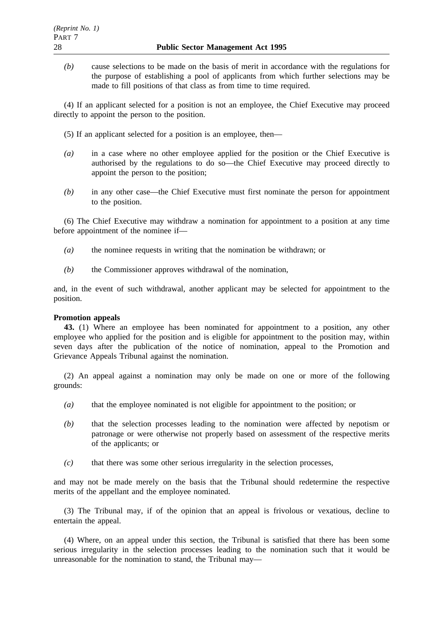*(b)* cause selections to be made on the basis of merit in accordance with the regulations for the purpose of establishing a pool of applicants from which further selections may be made to fill positions of that class as from time to time required.

(4) If an applicant selected for a position is not an employee, the Chief Executive may proceed directly to appoint the person to the position.

- (5) If an applicant selected for a position is an employee, then—
- *(a)* in a case where no other employee applied for the position or the Chief Executive is authorised by the regulations to do so—the Chief Executive may proceed directly to appoint the person to the position;
- *(b)* in any other case—the Chief Executive must first nominate the person for appointment to the position.

(6) The Chief Executive may withdraw a nomination for appointment to a position at any time before appointment of the nominee if—

- *(a)* the nominee requests in writing that the nomination be withdrawn; or
- *(b)* the Commissioner approves withdrawal of the nomination,

and, in the event of such withdrawal, another applicant may be selected for appointment to the position.

#### **Promotion appeals**

**43.** (1) Where an employee has been nominated for appointment to a position, any other employee who applied for the position and is eligible for appointment to the position may, within seven days after the publication of the notice of nomination, appeal to the Promotion and Grievance Appeals Tribunal against the nomination.

(2) An appeal against a nomination may only be made on one or more of the following grounds:

- *(a)* that the employee nominated is not eligible for appointment to the position; or
- *(b)* that the selection processes leading to the nomination were affected by nepotism or patronage or were otherwise not properly based on assessment of the respective merits of the applicants; or
- *(c)* that there was some other serious irregularity in the selection processes,

and may not be made merely on the basis that the Tribunal should redetermine the respective merits of the appellant and the employee nominated.

(3) The Tribunal may, if of the opinion that an appeal is frivolous or vexatious, decline to entertain the appeal.

(4) Where, on an appeal under this section, the Tribunal is satisfied that there has been some serious irregularity in the selection processes leading to the nomination such that it would be unreasonable for the nomination to stand, the Tribunal may—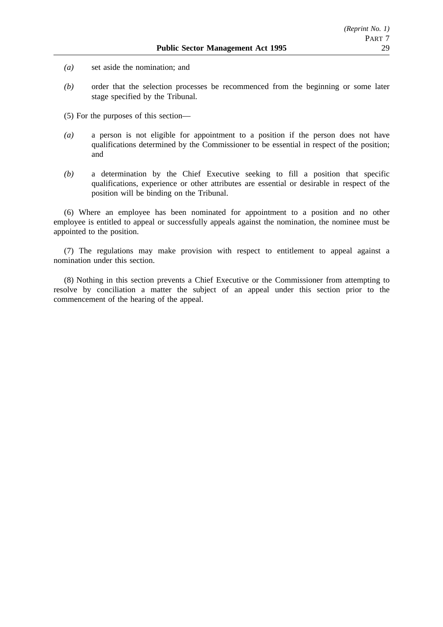- *(a)* set aside the nomination; and
- *(b)* order that the selection processes be recommenced from the beginning or some later stage specified by the Tribunal.
- (5) For the purposes of this section—
- *(a)* a person is not eligible for appointment to a position if the person does not have qualifications determined by the Commissioner to be essential in respect of the position; and
- *(b)* a determination by the Chief Executive seeking to fill a position that specific qualifications, experience or other attributes are essential or desirable in respect of the position will be binding on the Tribunal.

(6) Where an employee has been nominated for appointment to a position and no other employee is entitled to appeal or successfully appeals against the nomination, the nominee must be appointed to the position.

(7) The regulations may make provision with respect to entitlement to appeal against a nomination under this section.

(8) Nothing in this section prevents a Chief Executive or the Commissioner from attempting to resolve by conciliation a matter the subject of an appeal under this section prior to the commencement of the hearing of the appeal.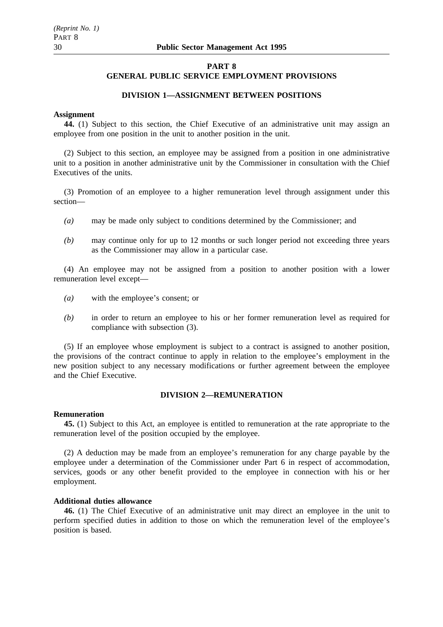## **GENERAL PUBLIC SERVICE EMPLOYMENT PROVISIONS**

### **DIVISION 1—ASSIGNMENT BETWEEN POSITIONS**

#### **Assignment**

**44.** (1) Subject to this section, the Chief Executive of an administrative unit may assign an employee from one position in the unit to another position in the unit.

(2) Subject to this section, an employee may be assigned from a position in one administrative unit to a position in another administrative unit by the Commissioner in consultation with the Chief Executives of the units.

(3) Promotion of an employee to a higher remuneration level through assignment under this section—

- *(a)* may be made only subject to conditions determined by the Commissioner; and
- *(b)* may continue only for up to 12 months or such longer period not exceeding three years as the Commissioner may allow in a particular case.

(4) An employee may not be assigned from a position to another position with a lower remuneration level except—

- *(a)* with the employee's consent; or
- *(b)* in order to return an employee to his or her former remuneration level as required for compliance with subsection (3).

(5) If an employee whose employment is subject to a contract is assigned to another position, the provisions of the contract continue to apply in relation to the employee's employment in the new position subject to any necessary modifications or further agreement between the employee and the Chief Executive.

## **DIVISION 2—REMUNERATION**

#### **Remuneration**

**45.** (1) Subject to this Act, an employee is entitled to remuneration at the rate appropriate to the remuneration level of the position occupied by the employee.

(2) A deduction may be made from an employee's remuneration for any charge payable by the employee under a determination of the Commissioner under Part 6 in respect of accommodation, services, goods or any other benefit provided to the employee in connection with his or her employment.

## **Additional duties allowance**

**46.** (1) The Chief Executive of an administrative unit may direct an employee in the unit to perform specified duties in addition to those on which the remuneration level of the employee's position is based.

*(Reprint No. 1)*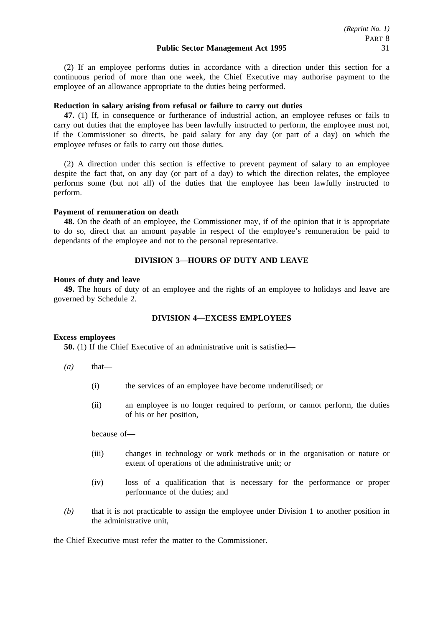(2) If an employee performs duties in accordance with a direction under this section for a continuous period of more than one week, the Chief Executive may authorise payment to the employee of an allowance appropriate to the duties being performed.

### **Reduction in salary arising from refusal or failure to carry out duties**

**47.** (1) If, in consequence or furtherance of industrial action, an employee refuses or fails to carry out duties that the employee has been lawfully instructed to perform, the employee must not, if the Commissioner so directs, be paid salary for any day (or part of a day) on which the employee refuses or fails to carry out those duties.

(2) A direction under this section is effective to prevent payment of salary to an employee despite the fact that, on any day (or part of a day) to which the direction relates, the employee performs some (but not all) of the duties that the employee has been lawfully instructed to perform.

### **Payment of remuneration on death**

**48.** On the death of an employee, the Commissioner may, if of the opinion that it is appropriate to do so, direct that an amount payable in respect of the employee's remuneration be paid to dependants of the employee and not to the personal representative.

## **DIVISION 3—HOURS OF DUTY AND LEAVE**

#### **Hours of duty and leave**

**49.** The hours of duty of an employee and the rights of an employee to holidays and leave are governed by Schedule 2.

### **DIVISION 4—EXCESS EMPLOYEES**

## **Excess employees**

**50.** (1) If the Chief Executive of an administrative unit is satisfied—

- $(a)$  that—
	- (i) the services of an employee have become underutilised; or
	- (ii) an employee is no longer required to perform, or cannot perform, the duties of his or her position,

because of—

- (iii) changes in technology or work methods or in the organisation or nature or extent of operations of the administrative unit; or
- (iv) loss of a qualification that is necessary for the performance or proper performance of the duties; and
- *(b)* that it is not practicable to assign the employee under Division 1 to another position in the administrative unit,

the Chief Executive must refer the matter to the Commissioner.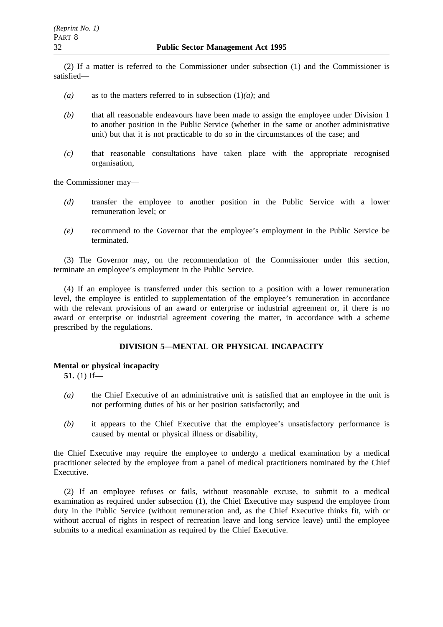(2) If a matter is referred to the Commissioner under subsection (1) and the Commissioner is satisfied—

- *(a)* as to the matters referred to in subsection (1)*(a)*; and
- *(b)* that all reasonable endeavours have been made to assign the employee under Division 1 to another position in the Public Service (whether in the same or another administrative unit) but that it is not practicable to do so in the circumstances of the case; and
- *(c)* that reasonable consultations have taken place with the appropriate recognised organisation,

the Commissioner may—

- *(d)* transfer the employee to another position in the Public Service with a lower remuneration level; or
- *(e)* recommend to the Governor that the employee's employment in the Public Service be terminated.

(3) The Governor may, on the recommendation of the Commissioner under this section, terminate an employee's employment in the Public Service.

(4) If an employee is transferred under this section to a position with a lower remuneration level, the employee is entitled to supplementation of the employee's remuneration in accordance with the relevant provisions of an award or enterprise or industrial agreement or, if there is no award or enterprise or industrial agreement covering the matter, in accordance with a scheme prescribed by the regulations.

## **DIVISION 5—MENTAL OR PHYSICAL INCAPACITY**

### **Mental or physical incapacity**

**51.** (1) If—

- *(a)* the Chief Executive of an administrative unit is satisfied that an employee in the unit is not performing duties of his or her position satisfactorily; and
- *(b)* it appears to the Chief Executive that the employee's unsatisfactory performance is caused by mental or physical illness or disability,

the Chief Executive may require the employee to undergo a medical examination by a medical practitioner selected by the employee from a panel of medical practitioners nominated by the Chief Executive.

(2) If an employee refuses or fails, without reasonable excuse, to submit to a medical examination as required under subsection (1), the Chief Executive may suspend the employee from duty in the Public Service (without remuneration and, as the Chief Executive thinks fit, with or without accrual of rights in respect of recreation leave and long service leave) until the employee submits to a medical examination as required by the Chief Executive.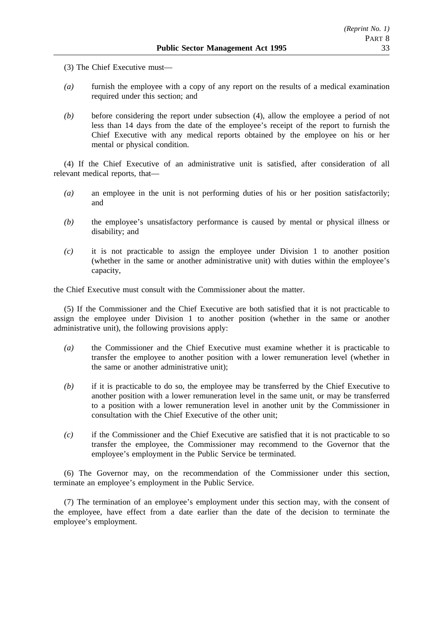- (3) The Chief Executive must—
- *(a)* furnish the employee with a copy of any report on the results of a medical examination required under this section; and
- *(b)* before considering the report under subsection (4), allow the employee a period of not less than 14 days from the date of the employee's receipt of the report to furnish the Chief Executive with any medical reports obtained by the employee on his or her mental or physical condition.

(4) If the Chief Executive of an administrative unit is satisfied, after consideration of all relevant medical reports, that—

- *(a)* an employee in the unit is not performing duties of his or her position satisfactorily; and
- *(b)* the employee's unsatisfactory performance is caused by mental or physical illness or disability; and
- *(c)* it is not practicable to assign the employee under Division 1 to another position (whether in the same or another administrative unit) with duties within the employee's capacity,

the Chief Executive must consult with the Commissioner about the matter.

(5) If the Commissioner and the Chief Executive are both satisfied that it is not practicable to assign the employee under Division 1 to another position (whether in the same or another administrative unit), the following provisions apply:

- *(a)* the Commissioner and the Chief Executive must examine whether it is practicable to transfer the employee to another position with a lower remuneration level (whether in the same or another administrative unit);
- *(b)* if it is practicable to do so, the employee may be transferred by the Chief Executive to another position with a lower remuneration level in the same unit, or may be transferred to a position with a lower remuneration level in another unit by the Commissioner in consultation with the Chief Executive of the other unit;
- *(c)* if the Commissioner and the Chief Executive are satisfied that it is not practicable to so transfer the employee, the Commissioner may recommend to the Governor that the employee's employment in the Public Service be terminated.

(6) The Governor may, on the recommendation of the Commissioner under this section, terminate an employee's employment in the Public Service.

(7) The termination of an employee's employment under this section may, with the consent of the employee, have effect from a date earlier than the date of the decision to terminate the employee's employment.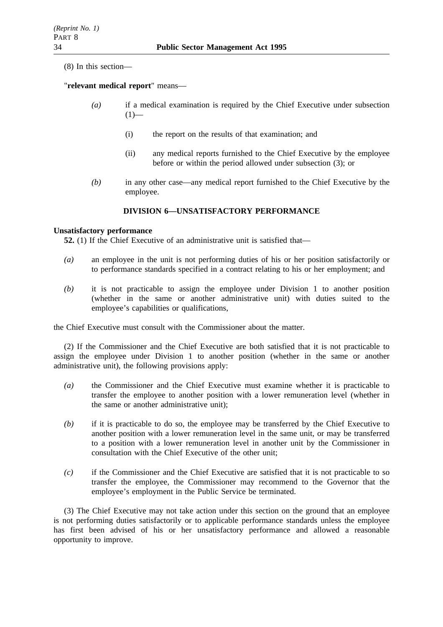(8) In this section—

## "**relevant medical report**" means—

- *(a)* if a medical examination is required by the Chief Executive under subsection  $(1)$ —
	- (i) the report on the results of that examination; and
	- (ii) any medical reports furnished to the Chief Executive by the employee before or within the period allowed under subsection (3); or
- *(b)* in any other case—any medical report furnished to the Chief Executive by the employee.

## **DIVISION 6—UNSATISFACTORY PERFORMANCE**

### **Unsatisfactory performance**

**52.** (1) If the Chief Executive of an administrative unit is satisfied that—

- *(a)* an employee in the unit is not performing duties of his or her position satisfactorily or to performance standards specified in a contract relating to his or her employment; and
- *(b)* it is not practicable to assign the employee under Division 1 to another position (whether in the same or another administrative unit) with duties suited to the employee's capabilities or qualifications,

the Chief Executive must consult with the Commissioner about the matter.

(2) If the Commissioner and the Chief Executive are both satisfied that it is not practicable to assign the employee under Division 1 to another position (whether in the same or another administrative unit), the following provisions apply:

- *(a)* the Commissioner and the Chief Executive must examine whether it is practicable to transfer the employee to another position with a lower remuneration level (whether in the same or another administrative unit);
- *(b)* if it is practicable to do so, the employee may be transferred by the Chief Executive to another position with a lower remuneration level in the same unit, or may be transferred to a position with a lower remuneration level in another unit by the Commissioner in consultation with the Chief Executive of the other unit;
- *(c)* if the Commissioner and the Chief Executive are satisfied that it is not practicable to so transfer the employee, the Commissioner may recommend to the Governor that the employee's employment in the Public Service be terminated.

(3) The Chief Executive may not take action under this section on the ground that an employee is not performing duties satisfactorily or to applicable performance standards unless the employee has first been advised of his or her unsatisfactory performance and allowed a reasonable opportunity to improve.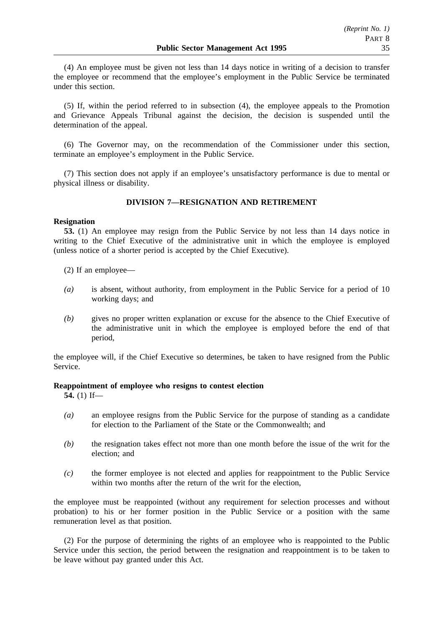(4) An employee must be given not less than 14 days notice in writing of a decision to transfer the employee or recommend that the employee's employment in the Public Service be terminated under this section.

(5) If, within the period referred to in subsection (4), the employee appeals to the Promotion and Grievance Appeals Tribunal against the decision, the decision is suspended until the determination of the appeal.

(6) The Governor may, on the recommendation of the Commissioner under this section, terminate an employee's employment in the Public Service.

(7) This section does not apply if an employee's unsatisfactory performance is due to mental or physical illness or disability.

## **DIVISION 7—RESIGNATION AND RETIREMENT**

### **Resignation**

**53.** (1) An employee may resign from the Public Service by not less than 14 days notice in writing to the Chief Executive of the administrative unit in which the employee is employed (unless notice of a shorter period is accepted by the Chief Executive).

- (2) If an employee—
- *(a)* is absent, without authority, from employment in the Public Service for a period of 10 working days; and
- *(b)* gives no proper written explanation or excuse for the absence to the Chief Executive of the administrative unit in which the employee is employed before the end of that period,

the employee will, if the Chief Executive so determines, be taken to have resigned from the Public Service.

### **Reappointment of employee who resigns to contest election**

**54.** (1) If—

- *(a)* an employee resigns from the Public Service for the purpose of standing as a candidate for election to the Parliament of the State or the Commonwealth; and
- *(b)* the resignation takes effect not more than one month before the issue of the writ for the election; and
- *(c)* the former employee is not elected and applies for reappointment to the Public Service within two months after the return of the writ for the election,

the employee must be reappointed (without any requirement for selection processes and without probation) to his or her former position in the Public Service or a position with the same remuneration level as that position.

(2) For the purpose of determining the rights of an employee who is reappointed to the Public Service under this section, the period between the resignation and reappointment is to be taken to be leave without pay granted under this Act.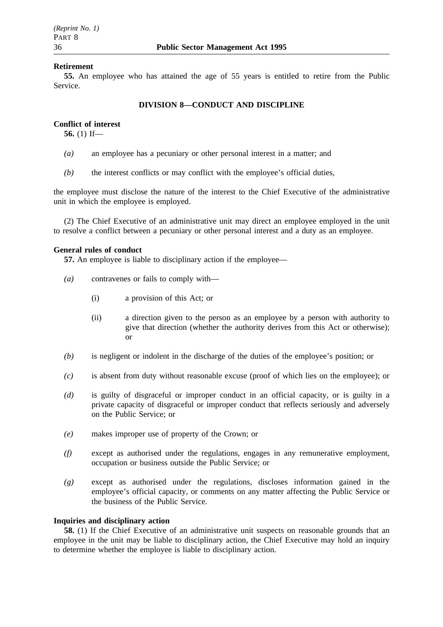## **Retirement**

**55.** An employee who has attained the age of 55 years is entitled to retire from the Public Service.

## **DIVISION 8—CONDUCT AND DISCIPLINE**

## **Conflict of interest**

**56.** (1) If—

- *(a)* an employee has a pecuniary or other personal interest in a matter; and
- *(b)* the interest conflicts or may conflict with the employee's official duties,

the employee must disclose the nature of the interest to the Chief Executive of the administrative unit in which the employee is employed.

(2) The Chief Executive of an administrative unit may direct an employee employed in the unit to resolve a conflict between a pecuniary or other personal interest and a duty as an employee.

## **General rules of conduct**

**57.** An employee is liable to disciplinary action if the employee—

- *(a)* contravenes or fails to comply with—
	- (i) a provision of this Act; or
	- (ii) a direction given to the person as an employee by a person with authority to give that direction (whether the authority derives from this Act or otherwise); or
- *(b)* is negligent or indolent in the discharge of the duties of the employee's position; or
- *(c)* is absent from duty without reasonable excuse (proof of which lies on the employee); or
- *(d)* is guilty of disgraceful or improper conduct in an official capacity, or is guilty in a private capacity of disgraceful or improper conduct that reflects seriously and adversely on the Public Service; or
- *(e)* makes improper use of property of the Crown; or
- *(f)* except as authorised under the regulations, engages in any remunerative employment, occupation or business outside the Public Service; or
- *(g)* except as authorised under the regulations, discloses information gained in the employee's official capacity, or comments on any matter affecting the Public Service or the business of the Public Service.

## **Inquiries and disciplinary action**

**58.** (1) If the Chief Executive of an administrative unit suspects on reasonable grounds that an employee in the unit may be liable to disciplinary action, the Chief Executive may hold an inquiry to determine whether the employee is liable to disciplinary action.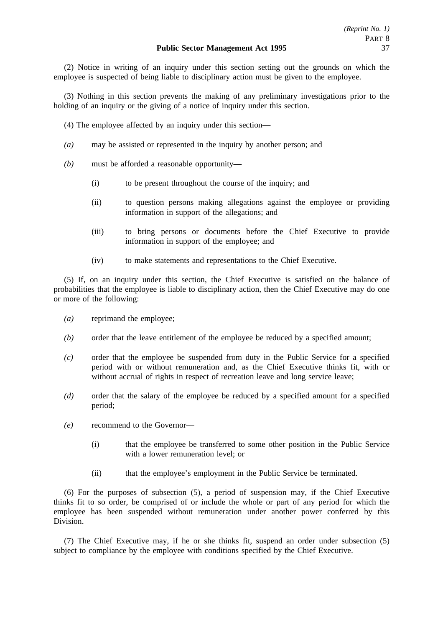(2) Notice in writing of an inquiry under this section setting out the grounds on which the employee is suspected of being liable to disciplinary action must be given to the employee.

(3) Nothing in this section prevents the making of any preliminary investigations prior to the holding of an inquiry or the giving of a notice of inquiry under this section.

- (4) The employee affected by an inquiry under this section—
- *(a)* may be assisted or represented in the inquiry by another person; and
- *(b)* must be afforded a reasonable opportunity—
	- (i) to be present throughout the course of the inquiry; and
	- (ii) to question persons making allegations against the employee or providing information in support of the allegations; and
	- (iii) to bring persons or documents before the Chief Executive to provide information in support of the employee; and
	- (iv) to make statements and representations to the Chief Executive.

(5) If, on an inquiry under this section, the Chief Executive is satisfied on the balance of probabilities that the employee is liable to disciplinary action, then the Chief Executive may do one or more of the following:

- *(a)* reprimand the employee;
- *(b)* order that the leave entitlement of the employee be reduced by a specified amount;
- *(c)* order that the employee be suspended from duty in the Public Service for a specified period with or without remuneration and, as the Chief Executive thinks fit, with or without accrual of rights in respect of recreation leave and long service leave;
- *(d)* order that the salary of the employee be reduced by a specified amount for a specified period;
- *(e)* recommend to the Governor—
	- (i) that the employee be transferred to some other position in the Public Service with a lower remuneration level; or
	- (ii) that the employee's employment in the Public Service be terminated.

(6) For the purposes of subsection (5), a period of suspension may, if the Chief Executive thinks fit to so order, be comprised of or include the whole or part of any period for which the employee has been suspended without remuneration under another power conferred by this Division.

(7) The Chief Executive may, if he or she thinks fit, suspend an order under subsection (5) subject to compliance by the employee with conditions specified by the Chief Executive.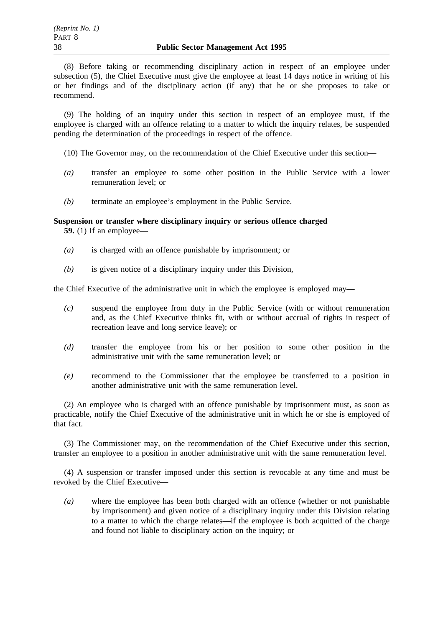(8) Before taking or recommending disciplinary action in respect of an employee under subsection (5), the Chief Executive must give the employee at least 14 days notice in writing of his or her findings and of the disciplinary action (if any) that he or she proposes to take or recommend.

(9) The holding of an inquiry under this section in respect of an employee must, if the employee is charged with an offence relating to a matter to which the inquiry relates, be suspended pending the determination of the proceedings in respect of the offence.

(10) The Governor may, on the recommendation of the Chief Executive under this section—

- *(a)* transfer an employee to some other position in the Public Service with a lower remuneration level; or
- *(b)* terminate an employee's employment in the Public Service.

## **Suspension or transfer where disciplinary inquiry or serious offence charged**

**59.** (1) If an employee—

- *(a)* is charged with an offence punishable by imprisonment; or
- *(b)* is given notice of a disciplinary inquiry under this Division,

the Chief Executive of the administrative unit in which the employee is employed may—

- *(c)* suspend the employee from duty in the Public Service (with or without remuneration and, as the Chief Executive thinks fit, with or without accrual of rights in respect of recreation leave and long service leave); or
- *(d)* transfer the employee from his or her position to some other position in the administrative unit with the same remuneration level; or
- *(e)* recommend to the Commissioner that the employee be transferred to a position in another administrative unit with the same remuneration level.

(2) An employee who is charged with an offence punishable by imprisonment must, as soon as practicable, notify the Chief Executive of the administrative unit in which he or she is employed of that fact.

(3) The Commissioner may, on the recommendation of the Chief Executive under this section, transfer an employee to a position in another administrative unit with the same remuneration level.

(4) A suspension or transfer imposed under this section is revocable at any time and must be revoked by the Chief Executive—

*(a)* where the employee has been both charged with an offence (whether or not punishable by imprisonment) and given notice of a disciplinary inquiry under this Division relating to a matter to which the charge relates—if the employee is both acquitted of the charge and found not liable to disciplinary action on the inquiry; or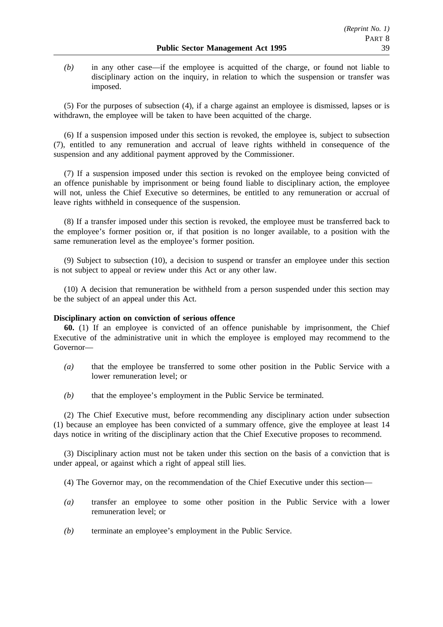*(b)* in any other case—if the employee is acquitted of the charge, or found not liable to disciplinary action on the inquiry, in relation to which the suspension or transfer was imposed.

(5) For the purposes of subsection (4), if a charge against an employee is dismissed, lapses or is withdrawn, the employee will be taken to have been acquitted of the charge.

(6) If a suspension imposed under this section is revoked, the employee is, subject to subsection (7), entitled to any remuneration and accrual of leave rights withheld in consequence of the suspension and any additional payment approved by the Commissioner.

(7) If a suspension imposed under this section is revoked on the employee being convicted of an offence punishable by imprisonment or being found liable to disciplinary action, the employee will not, unless the Chief Executive so determines, be entitled to any remuneration or accrual of leave rights withheld in consequence of the suspension.

(8) If a transfer imposed under this section is revoked, the employee must be transferred back to the employee's former position or, if that position is no longer available, to a position with the same remuneration level as the employee's former position.

(9) Subject to subsection (10), a decision to suspend or transfer an employee under this section is not subject to appeal or review under this Act or any other law.

(10) A decision that remuneration be withheld from a person suspended under this section may be the subject of an appeal under this Act.

## **Disciplinary action on conviction of serious offence**

**60.** (1) If an employee is convicted of an offence punishable by imprisonment, the Chief Executive of the administrative unit in which the employee is employed may recommend to the Governor—

- *(a)* that the employee be transferred to some other position in the Public Service with a lower remuneration level; or
- *(b)* that the employee's employment in the Public Service be terminated.

(2) The Chief Executive must, before recommending any disciplinary action under subsection (1) because an employee has been convicted of a summary offence, give the employee at least 14 days notice in writing of the disciplinary action that the Chief Executive proposes to recommend.

(3) Disciplinary action must not be taken under this section on the basis of a conviction that is under appeal, or against which a right of appeal still lies.

(4) The Governor may, on the recommendation of the Chief Executive under this section—

- *(a)* transfer an employee to some other position in the Public Service with a lower remuneration level; or
- *(b)* terminate an employee's employment in the Public Service.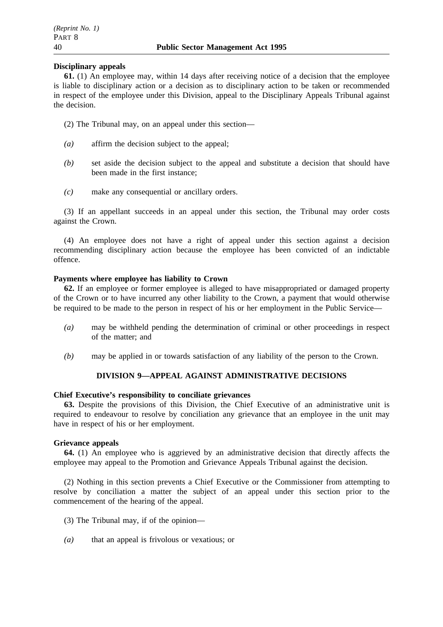## **Disciplinary appeals**

**61.** (1) An employee may, within 14 days after receiving notice of a decision that the employee is liable to disciplinary action or a decision as to disciplinary action to be taken or recommended in respect of the employee under this Division, appeal to the Disciplinary Appeals Tribunal against the decision.

- (2) The Tribunal may, on an appeal under this section—
- *(a)* affirm the decision subject to the appeal;
- *(b)* set aside the decision subject to the appeal and substitute a decision that should have been made in the first instance;
- *(c)* make any consequential or ancillary orders.

(3) If an appellant succeeds in an appeal under this section, the Tribunal may order costs against the Crown.

(4) An employee does not have a right of appeal under this section against a decision recommending disciplinary action because the employee has been convicted of an indictable offence.

## **Payments where employee has liability to Crown**

**62.** If an employee or former employee is alleged to have misappropriated or damaged property of the Crown or to have incurred any other liability to the Crown, a payment that would otherwise be required to be made to the person in respect of his or her employment in the Public Service—

- *(a)* may be withheld pending the determination of criminal or other proceedings in respect of the matter; and
- *(b)* may be applied in or towards satisfaction of any liability of the person to the Crown.

## **DIVISION 9—APPEAL AGAINST ADMINISTRATIVE DECISIONS**

### **Chief Executive's responsibility to conciliate grievances**

**63.** Despite the provisions of this Division, the Chief Executive of an administrative unit is required to endeavour to resolve by conciliation any grievance that an employee in the unit may have in respect of his or her employment.

### **Grievance appeals**

**64.** (1) An employee who is aggrieved by an administrative decision that directly affects the employee may appeal to the Promotion and Grievance Appeals Tribunal against the decision.

(2) Nothing in this section prevents a Chief Executive or the Commissioner from attempting to resolve by conciliation a matter the subject of an appeal under this section prior to the commencement of the hearing of the appeal.

- (3) The Tribunal may, if of the opinion—
- *(a)* that an appeal is frivolous or vexatious; or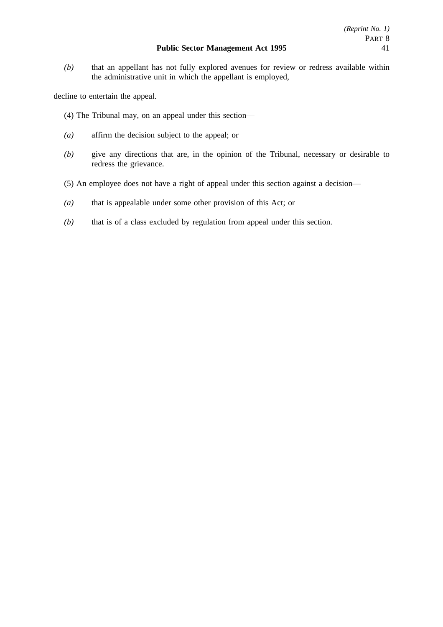*(b)* that an appellant has not fully explored avenues for review or redress available within the administrative unit in which the appellant is employed,

decline to entertain the appeal.

- (4) The Tribunal may, on an appeal under this section—
- *(a)* affirm the decision subject to the appeal; or
- *(b)* give any directions that are, in the opinion of the Tribunal, necessary or desirable to redress the grievance.
- (5) An employee does not have a right of appeal under this section against a decision—
- *(a)* that is appealable under some other provision of this Act; or
- *(b)* that is of a class excluded by regulation from appeal under this section.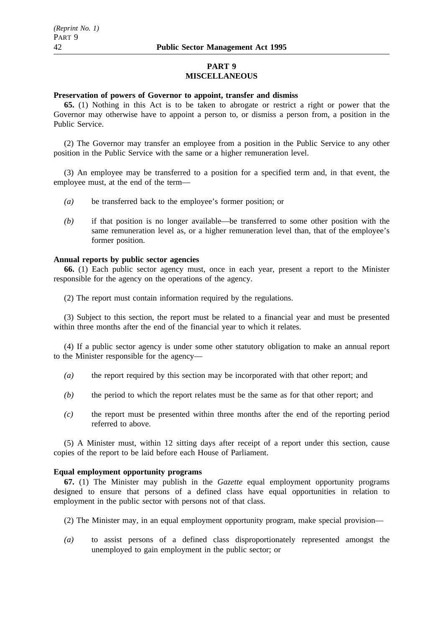## **PART 9 MISCELLANEOUS**

## **Preservation of powers of Governor to appoint, transfer and dismiss**

**65.** (1) Nothing in this Act is to be taken to abrogate or restrict a right or power that the Governor may otherwise have to appoint a person to, or dismiss a person from, a position in the Public Service.

(2) The Governor may transfer an employee from a position in the Public Service to any other position in the Public Service with the same or a higher remuneration level.

(3) An employee may be transferred to a position for a specified term and, in that event, the employee must, at the end of the term—

- *(a)* be transferred back to the employee's former position; or
- *(b)* if that position is no longer available—be transferred to some other position with the same remuneration level as, or a higher remuneration level than, that of the employee's former position.

### **Annual reports by public sector agencies**

**66.** (1) Each public sector agency must, once in each year, present a report to the Minister responsible for the agency on the operations of the agency.

(2) The report must contain information required by the regulations.

(3) Subject to this section, the report must be related to a financial year and must be presented within three months after the end of the financial year to which it relates.

(4) If a public sector agency is under some other statutory obligation to make an annual report to the Minister responsible for the agency—

- *(a)* the report required by this section may be incorporated with that other report; and
- *(b)* the period to which the report relates must be the same as for that other report; and
- *(c)* the report must be presented within three months after the end of the reporting period referred to above.

(5) A Minister must, within 12 sitting days after receipt of a report under this section, cause copies of the report to be laid before each House of Parliament.

### **Equal employment opportunity programs**

**67.** (1) The Minister may publish in the *Gazette* equal employment opportunity programs designed to ensure that persons of a defined class have equal opportunities in relation to employment in the public sector with persons not of that class.

- (2) The Minister may, in an equal employment opportunity program, make special provision—
- *(a)* to assist persons of a defined class disproportionately represented amongst the unemployed to gain employment in the public sector; or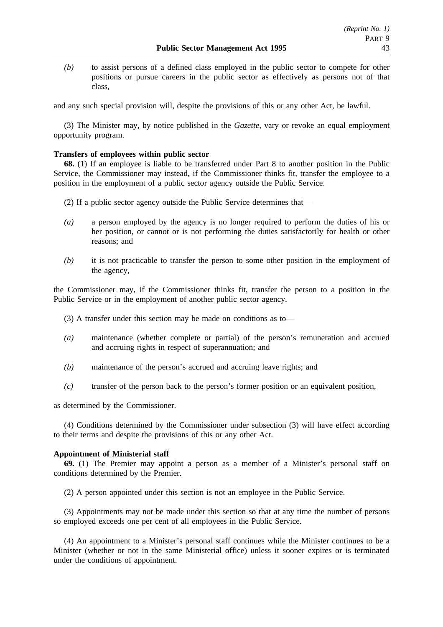*(b)* to assist persons of a defined class employed in the public sector to compete for other positions or pursue careers in the public sector as effectively as persons not of that class,

and any such special provision will, despite the provisions of this or any other Act, be lawful.

(3) The Minister may, by notice published in the *Gazette*, vary or revoke an equal employment opportunity program.

## **Transfers of employees within public sector**

**68.** (1) If an employee is liable to be transferred under Part 8 to another position in the Public Service, the Commissioner may instead, if the Commissioner thinks fit, transfer the employee to a position in the employment of a public sector agency outside the Public Service.

- (2) If a public sector agency outside the Public Service determines that—
- *(a)* a person employed by the agency is no longer required to perform the duties of his or her position, or cannot or is not performing the duties satisfactorily for health or other reasons; and
- *(b)* it is not practicable to transfer the person to some other position in the employment of the agency,

the Commissioner may, if the Commissioner thinks fit, transfer the person to a position in the Public Service or in the employment of another public sector agency.

- (3) A transfer under this section may be made on conditions as to—
- *(a)* maintenance (whether complete or partial) of the person's remuneration and accrued and accruing rights in respect of superannuation; and
- *(b)* maintenance of the person's accrued and accruing leave rights; and
- *(c)* transfer of the person back to the person's former position or an equivalent position,

as determined by the Commissioner.

(4) Conditions determined by the Commissioner under subsection (3) will have effect according to their terms and despite the provisions of this or any other Act.

## **Appointment of Ministerial staff**

**69.** (1) The Premier may appoint a person as a member of a Minister's personal staff on conditions determined by the Premier.

(2) A person appointed under this section is not an employee in the Public Service.

(3) Appointments may not be made under this section so that at any time the number of persons so employed exceeds one per cent of all employees in the Public Service.

(4) An appointment to a Minister's personal staff continues while the Minister continues to be a Minister (whether or not in the same Ministerial office) unless it sooner expires or is terminated under the conditions of appointment.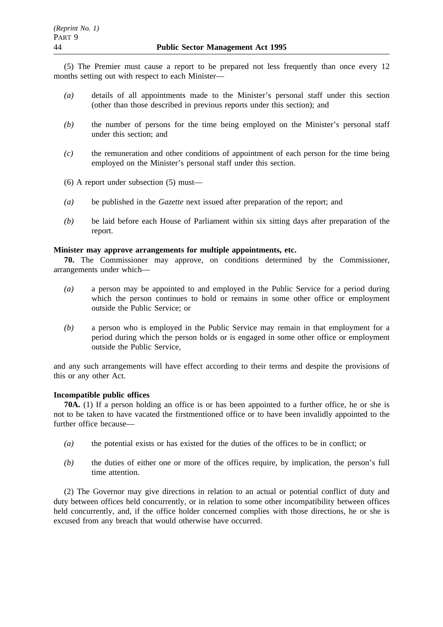(5) The Premier must cause a report to be prepared not less frequently than once every 12 months setting out with respect to each Minister—

- *(a)* details of all appointments made to the Minister's personal staff under this section (other than those described in previous reports under this section); and
- *(b)* the number of persons for the time being employed on the Minister's personal staff under this section; and
- *(c)* the remuneration and other conditions of appointment of each person for the time being employed on the Minister's personal staff under this section.
- (6) A report under subsection (5) must—
- *(a)* be published in the *Gazette* next issued after preparation of the report; and
- *(b)* be laid before each House of Parliament within six sitting days after preparation of the report.

## **Minister may approve arrangements for multiple appointments, etc.**

**70.** The Commissioner may approve, on conditions determined by the Commissioner, arrangements under which—

- *(a)* a person may be appointed to and employed in the Public Service for a period during which the person continues to hold or remains in some other office or employment outside the Public Service; or
- *(b)* a person who is employed in the Public Service may remain in that employment for a period during which the person holds or is engaged in some other office or employment outside the Public Service,

and any such arrangements will have effect according to their terms and despite the provisions of this or any other Act.

## **Incompatible public offices**

**70A.** (1) If a person holding an office is or has been appointed to a further office, he or she is not to be taken to have vacated the firstmentioned office or to have been invalidly appointed to the further office because—

- *(a)* the potential exists or has existed for the duties of the offices to be in conflict; or
- *(b)* the duties of either one or more of the offices require, by implication, the person's full time attention.

(2) The Governor may give directions in relation to an actual or potential conflict of duty and duty between offices held concurrently, or in relation to some other incompatibility between offices held concurrently, and, if the office holder concerned complies with those directions, he or she is excused from any breach that would otherwise have occurred.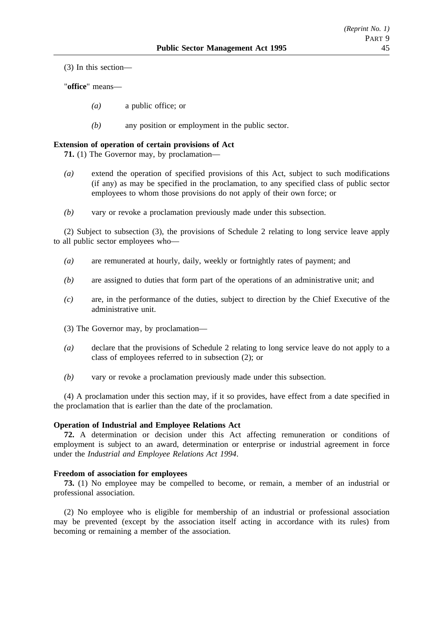(3) In this section—

"**office**" means—

- *(a)* a public office; or
- *(b)* any position or employment in the public sector.

## **Extension of operation of certain provisions of Act**

**71.** (1) The Governor may, by proclamation—

- *(a)* extend the operation of specified provisions of this Act, subject to such modifications (if any) as may be specified in the proclamation, to any specified class of public sector employees to whom those provisions do not apply of their own force; or
- *(b)* vary or revoke a proclamation previously made under this subsection.

(2) Subject to subsection (3), the provisions of Schedule 2 relating to long service leave apply to all public sector employees who—

- *(a)* are remunerated at hourly, daily, weekly or fortnightly rates of payment; and
- *(b)* are assigned to duties that form part of the operations of an administrative unit; and
- *(c)* are, in the performance of the duties, subject to direction by the Chief Executive of the administrative unit.
- (3) The Governor may, by proclamation—
- *(a)* declare that the provisions of Schedule 2 relating to long service leave do not apply to a class of employees referred to in subsection (2); or
- *(b)* vary or revoke a proclamation previously made under this subsection.

(4) A proclamation under this section may, if it so provides, have effect from a date specified in the proclamation that is earlier than the date of the proclamation.

### **Operation of Industrial and Employee Relations Act**

**72.** A determination or decision under this Act affecting remuneration or conditions of employment is subject to an award, determination or enterprise or industrial agreement in force under the *Industrial and Employee Relations Act 1994*.

### **Freedom of association for employees**

**73.** (1) No employee may be compelled to become, or remain, a member of an industrial or professional association.

(2) No employee who is eligible for membership of an industrial or professional association may be prevented (except by the association itself acting in accordance with its rules) from becoming or remaining a member of the association.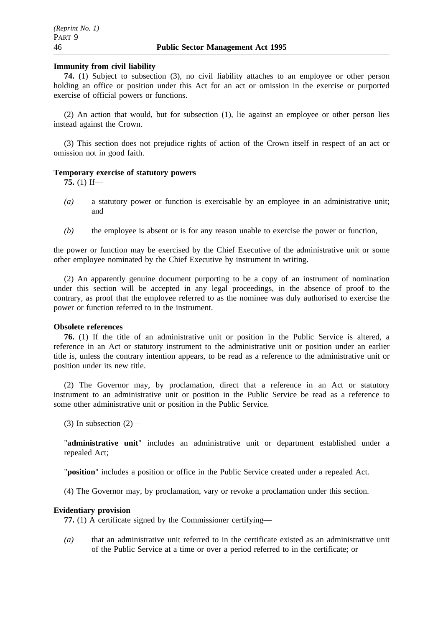### **Immunity from civil liability**

**74.** (1) Subject to subsection (3), no civil liability attaches to an employee or other person holding an office or position under this Act for an act or omission in the exercise or purported exercise of official powers or functions.

(2) An action that would, but for subsection (1), lie against an employee or other person lies instead against the Crown.

(3) This section does not prejudice rights of action of the Crown itself in respect of an act or omission not in good faith.

### **Temporary exercise of statutory powers**

**75.** (1) If—

- *(a)* a statutory power or function is exercisable by an employee in an administrative unit; and
- *(b)* the employee is absent or is for any reason unable to exercise the power or function,

the power or function may be exercised by the Chief Executive of the administrative unit or some other employee nominated by the Chief Executive by instrument in writing.

(2) An apparently genuine document purporting to be a copy of an instrument of nomination under this section will be accepted in any legal proceedings, in the absence of proof to the contrary, as proof that the employee referred to as the nominee was duly authorised to exercise the power or function referred to in the instrument.

### **Obsolete references**

**76.** (1) If the title of an administrative unit or position in the Public Service is altered, a reference in an Act or statutory instrument to the administrative unit or position under an earlier title is, unless the contrary intention appears, to be read as a reference to the administrative unit or position under its new title.

(2) The Governor may, by proclamation, direct that a reference in an Act or statutory instrument to an administrative unit or position in the Public Service be read as a reference to some other administrative unit or position in the Public Service.

 $(3)$  In subsection  $(2)$ —

"**administrative unit**" includes an administrative unit or department established under a repealed Act;

"**position**" includes a position or office in the Public Service created under a repealed Act.

(4) The Governor may, by proclamation, vary or revoke a proclamation under this section.

## **Evidentiary provision**

**77.** (1) A certificate signed by the Commissioner certifying—

*(a)* that an administrative unit referred to in the certificate existed as an administrative unit of the Public Service at a time or over a period referred to in the certificate; or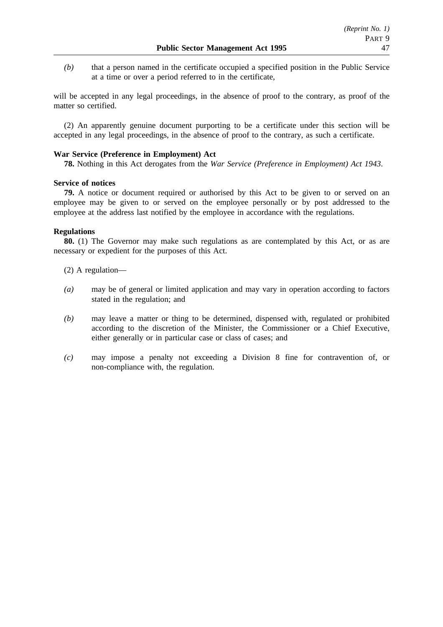*(b)* that a person named in the certificate occupied a specified position in the Public Service at a time or over a period referred to in the certificate,

will be accepted in any legal proceedings, in the absence of proof to the contrary, as proof of the matter so certified.

(2) An apparently genuine document purporting to be a certificate under this section will be accepted in any legal proceedings, in the absence of proof to the contrary, as such a certificate.

## **War Service (Preference in Employment) Act**

**78.** Nothing in this Act derogates from the *War Service (Preference in Employment) Act 1943*.

### **Service of notices**

**79.** A notice or document required or authorised by this Act to be given to or served on an employee may be given to or served on the employee personally or by post addressed to the employee at the address last notified by the employee in accordance with the regulations.

## **Regulations**

**80.** (1) The Governor may make such regulations as are contemplated by this Act, or as are necessary or expedient for the purposes of this Act.

- (2) A regulation—
- *(a)* may be of general or limited application and may vary in operation according to factors stated in the regulation; and
- *(b)* may leave a matter or thing to be determined, dispensed with, regulated or prohibited according to the discretion of the Minister, the Commissioner or a Chief Executive, either generally or in particular case or class of cases; and
- *(c)* may impose a penalty not exceeding a Division 8 fine for contravention of, or non-compliance with, the regulation.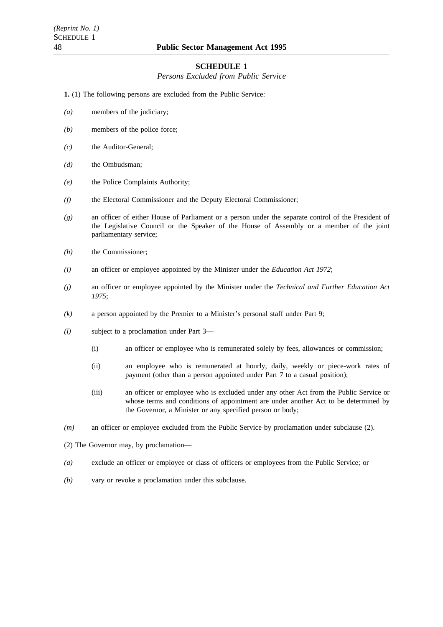#### **SCHEDULE 1**

*Persons Excluded from Public Service*

**1.** (1) The following persons are excluded from the Public Service:

- *(a)* members of the judiciary;
- *(b)* members of the police force;
- *(c)* the Auditor-General;
- *(d)* the Ombudsman;
- *(e)* the Police Complaints Authority;
- *(f)* the Electoral Commissioner and the Deputy Electoral Commissioner;
- *(g)* an officer of either House of Parliament or a person under the separate control of the President of the Legislative Council or the Speaker of the House of Assembly or a member of the joint parliamentary service;
- *(h)* the Commissioner;
- *(i)* an officer or employee appointed by the Minister under the *Education Act 1972*;
- *(j)* an officer or employee appointed by the Minister under the *Technical and Further Education Act 1975*;
- *(k)* a person appointed by the Premier to a Minister's personal staff under Part 9;
- *(l)* subject to a proclamation under Part 3—
	- (i) an officer or employee who is remunerated solely by fees, allowances or commission;
	- (ii) an employee who is remunerated at hourly, daily, weekly or piece-work rates of payment (other than a person appointed under Part 7 to a casual position);
	- (iii) an officer or employee who is excluded under any other Act from the Public Service or whose terms and conditions of appointment are under another Act to be determined by the Governor, a Minister or any specified person or body;
- *(m)* an officer or employee excluded from the Public Service by proclamation under subclause (2).
- (2) The Governor may, by proclamation—
- *(a)* exclude an officer or employee or class of officers or employees from the Public Service; or
- *(b)* vary or revoke a proclamation under this subclause.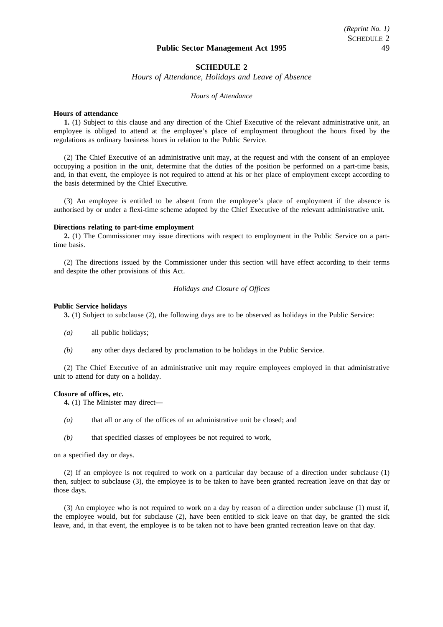#### **SCHEDULE 2**

*Hours of Attendance, Holidays and Leave of Absence*

#### *Hours of Attendance*

#### **Hours of attendance**

**1.** (1) Subject to this clause and any direction of the Chief Executive of the relevant administrative unit, an employee is obliged to attend at the employee's place of employment throughout the hours fixed by the regulations as ordinary business hours in relation to the Public Service.

(2) The Chief Executive of an administrative unit may, at the request and with the consent of an employee occupying a position in the unit, determine that the duties of the position be performed on a part-time basis, and, in that event, the employee is not required to attend at his or her place of employment except according to the basis determined by the Chief Executive.

(3) An employee is entitled to be absent from the employee's place of employment if the absence is authorised by or under a flexi-time scheme adopted by the Chief Executive of the relevant administrative unit.

#### **Directions relating to part-time employment**

**2.** (1) The Commissioner may issue directions with respect to employment in the Public Service on a parttime basis.

(2) The directions issued by the Commissioner under this section will have effect according to their terms and despite the other provisions of this Act.

#### *Holidays and Closure of Offices*

#### **Public Service holidays**

**3.** (1) Subject to subclause (2), the following days are to be observed as holidays in the Public Service:

- *(a)* all public holidays;
- *(b)* any other days declared by proclamation to be holidays in the Public Service.

(2) The Chief Executive of an administrative unit may require employees employed in that administrative unit to attend for duty on a holiday.

#### **Closure of offices, etc.**

**4.** (1) The Minister may direct—

- *(a)* that all or any of the offices of an administrative unit be closed; and
- *(b)* that specified classes of employees be not required to work,

on a specified day or days.

(2) If an employee is not required to work on a particular day because of a direction under subclause (1) then, subject to subclause (3), the employee is to be taken to have been granted recreation leave on that day or those days.

(3) An employee who is not required to work on a day by reason of a direction under subclause (1) must if, the employee would, but for subclause (2), have been entitled to sick leave on that day, be granted the sick leave, and, in that event, the employee is to be taken not to have been granted recreation leave on that day.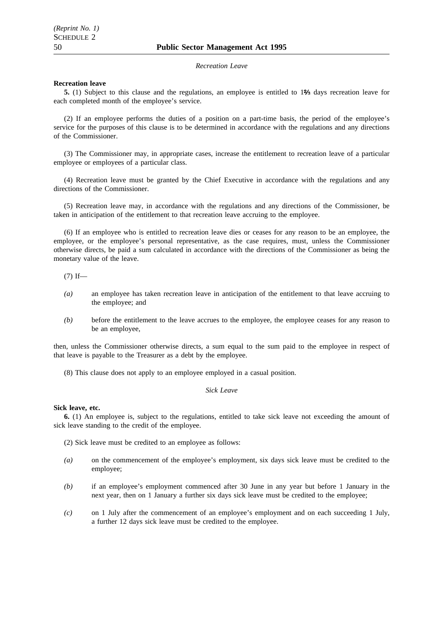#### *Recreation Leave*

#### **Recreation leave**

**5.** (1) Subject to this clause and the regulations, an employee is entitled to 1% days recreation leave for each completed month of the employee's service.

(2) If an employee performs the duties of a position on a part-time basis, the period of the employee's service for the purposes of this clause is to be determined in accordance with the regulations and any directions of the Commissioner.

(3) The Commissioner may, in appropriate cases, increase the entitlement to recreation leave of a particular employee or employees of a particular class.

(4) Recreation leave must be granted by the Chief Executive in accordance with the regulations and any directions of the Commissioner.

(5) Recreation leave may, in accordance with the regulations and any directions of the Commissioner, be taken in anticipation of the entitlement to that recreation leave accruing to the employee.

(6) If an employee who is entitled to recreation leave dies or ceases for any reason to be an employee, the employee, or the employee's personal representative, as the case requires, must, unless the Commissioner otherwise directs, be paid a sum calculated in accordance with the directions of the Commissioner as being the monetary value of the leave.

 $(7)$  If—

- *(a)* an employee has taken recreation leave in anticipation of the entitlement to that leave accruing to the employee; and
- *(b)* before the entitlement to the leave accrues to the employee, the employee ceases for any reason to be an employee,

then, unless the Commissioner otherwise directs, a sum equal to the sum paid to the employee in respect of that leave is payable to the Treasurer as a debt by the employee.

(8) This clause does not apply to an employee employed in a casual position.

#### *Sick Leave*

#### **Sick leave, etc.**

**6.** (1) An employee is, subject to the regulations, entitled to take sick leave not exceeding the amount of sick leave standing to the credit of the employee.

- (2) Sick leave must be credited to an employee as follows:
- *(a)* on the commencement of the employee's employment, six days sick leave must be credited to the employee;
- *(b)* if an employee's employment commenced after 30 June in any year but before 1 January in the next year, then on 1 January a further six days sick leave must be credited to the employee;
- *(c)* on 1 July after the commencement of an employee's employment and on each succeeding 1 July, a further 12 days sick leave must be credited to the employee.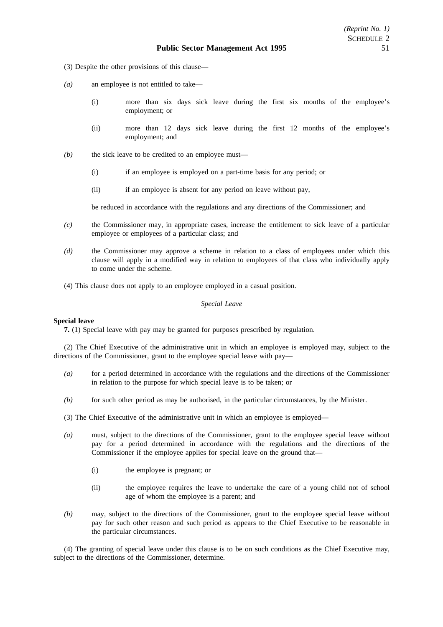- (3) Despite the other provisions of this clause—
- *(a)* an employee is not entitled to take—
	- (i) more than six days sick leave during the first six months of the employee's employment; or
	- (ii) more than 12 days sick leave during the first 12 months of the employee's employment; and
- *(b)* the sick leave to be credited to an employee must—
	- (i) if an employee is employed on a part-time basis for any period; or
	- (ii) if an employee is absent for any period on leave without pay,

be reduced in accordance with the regulations and any directions of the Commissioner; and

- *(c)* the Commissioner may, in appropriate cases, increase the entitlement to sick leave of a particular employee or employees of a particular class; and
- *(d)* the Commissioner may approve a scheme in relation to a class of employees under which this clause will apply in a modified way in relation to employees of that class who individually apply to come under the scheme.
- (4) This clause does not apply to an employee employed in a casual position.

#### *Special Leave*

#### **Special leave**

**7.** (1) Special leave with pay may be granted for purposes prescribed by regulation.

(2) The Chief Executive of the administrative unit in which an employee is employed may, subject to the directions of the Commissioner, grant to the employee special leave with pay—

- *(a)* for a period determined in accordance with the regulations and the directions of the Commissioner in relation to the purpose for which special leave is to be taken; or
- *(b)* for such other period as may be authorised, in the particular circumstances, by the Minister.

(3) The Chief Executive of the administrative unit in which an employee is employed—

- *(a)* must, subject to the directions of the Commissioner, grant to the employee special leave without pay for a period determined in accordance with the regulations and the directions of the Commissioner if the employee applies for special leave on the ground that—
	- (i) the employee is pregnant; or
	- (ii) the employee requires the leave to undertake the care of a young child not of school age of whom the employee is a parent; and
- *(b)* may, subject to the directions of the Commissioner, grant to the employee special leave without pay for such other reason and such period as appears to the Chief Executive to be reasonable in the particular circumstances.

(4) The granting of special leave under this clause is to be on such conditions as the Chief Executive may, subject to the directions of the Commissioner, determine.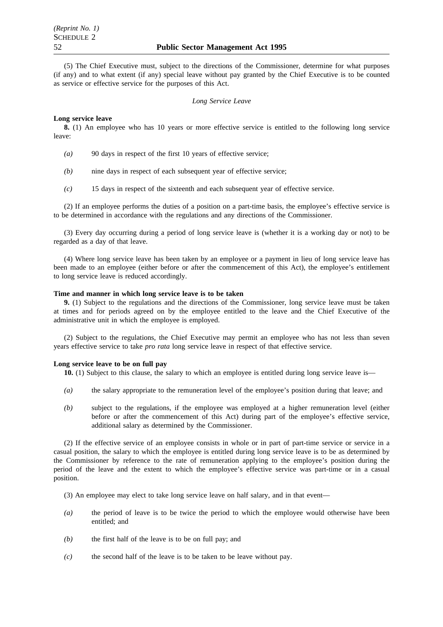(5) The Chief Executive must, subject to the directions of the Commissioner, determine for what purposes (if any) and to what extent (if any) special leave without pay granted by the Chief Executive is to be counted as service or effective service for the purposes of this Act.

#### *Long Service Leave*

#### **Long service leave**

**8.** (1) An employee who has 10 years or more effective service is entitled to the following long service leave:

- *(a)* 90 days in respect of the first 10 years of effective service;
- *(b)* nine days in respect of each subsequent year of effective service;
- *(c)* 15 days in respect of the sixteenth and each subsequent year of effective service.

(2) If an employee performs the duties of a position on a part-time basis, the employee's effective service is to be determined in accordance with the regulations and any directions of the Commissioner.

(3) Every day occurring during a period of long service leave is (whether it is a working day or not) to be regarded as a day of that leave.

(4) Where long service leave has been taken by an employee or a payment in lieu of long service leave has been made to an employee (either before or after the commencement of this Act), the employee's entitlement to long service leave is reduced accordingly.

#### **Time and manner in which long service leave is to be taken**

**9.** (1) Subject to the regulations and the directions of the Commissioner, long service leave must be taken at times and for periods agreed on by the employee entitled to the leave and the Chief Executive of the administrative unit in which the employee is employed.

(2) Subject to the regulations, the Chief Executive may permit an employee who has not less than seven years effective service to take *pro rata* long service leave in respect of that effective service.

#### **Long service leave to be on full pay**

10. (1) Subject to this clause, the salary to which an employee is entitled during long service leave is—

- *(a)* the salary appropriate to the remuneration level of the employee's position during that leave; and
- *(b)* subject to the regulations, if the employee was employed at a higher remuneration level (either before or after the commencement of this Act) during part of the employee's effective service, additional salary as determined by the Commissioner.

(2) If the effective service of an employee consists in whole or in part of part-time service or service in a casual position, the salary to which the employee is entitled during long service leave is to be as determined by the Commissioner by reference to the rate of remuneration applying to the employee's position during the period of the leave and the extent to which the employee's effective service was part-time or in a casual position.

- (3) An employee may elect to take long service leave on half salary, and in that event—
- *(a)* the period of leave is to be twice the period to which the employee would otherwise have been entitled; and
- *(b)* the first half of the leave is to be on full pay; and
- *(c)* the second half of the leave is to be taken to be leave without pay.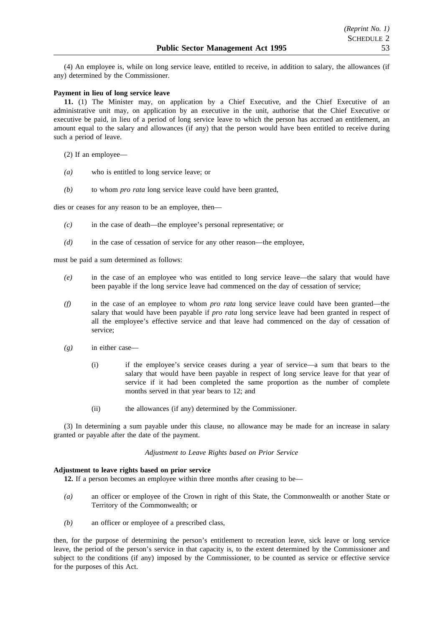(4) An employee is, while on long service leave, entitled to receive, in addition to salary, the allowances (if any) determined by the Commissioner.

#### **Payment in lieu of long service leave**

**11.** (1) The Minister may, on application by a Chief Executive, and the Chief Executive of an administrative unit may, on application by an executive in the unit, authorise that the Chief Executive or executive be paid, in lieu of a period of long service leave to which the person has accrued an entitlement, an amount equal to the salary and allowances (if any) that the person would have been entitled to receive during such a period of leave.

(2) If an employee—

- *(a)* who is entitled to long service leave; or
- *(b)* to whom *pro rata* long service leave could have been granted,

dies or ceases for any reason to be an employee, then—

- *(c)* in the case of death—the employee's personal representative; or
- *(d)* in the case of cessation of service for any other reason—the employee,

must be paid a sum determined as follows:

- *(e)* in the case of an employee who was entitled to long service leave—the salary that would have been payable if the long service leave had commenced on the day of cessation of service;
- *(f)* in the case of an employee to whom *pro rata* long service leave could have been granted—the salary that would have been payable if *pro rata* long service leave had been granted in respect of all the employee's effective service and that leave had commenced on the day of cessation of service;
- *(g)* in either case—
	- (i) if the employee's service ceases during a year of service—a sum that bears to the salary that would have been payable in respect of long service leave for that year of service if it had been completed the same proportion as the number of complete months served in that year bears to 12; and
	- (ii) the allowances (if any) determined by the Commissioner.

(3) In determining a sum payable under this clause, no allowance may be made for an increase in salary granted or payable after the date of the payment.

#### *Adjustment to Leave Rights based on Prior Service*

#### **Adjustment to leave rights based on prior service**

**12.** If a person becomes an employee within three months after ceasing to be—

- *(a)* an officer or employee of the Crown in right of this State, the Commonwealth or another State or Territory of the Commonwealth; or
- *(b)* an officer or employee of a prescribed class,

then, for the purpose of determining the person's entitlement to recreation leave, sick leave or long service leave, the period of the person's service in that capacity is, to the extent determined by the Commissioner and subject to the conditions (if any) imposed by the Commissioner, to be counted as service or effective service for the purposes of this Act.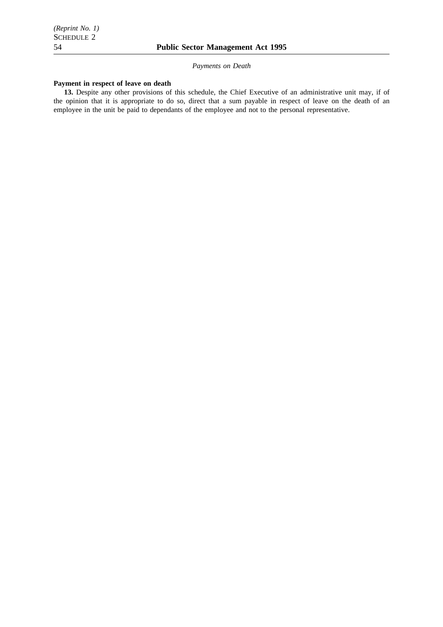*Payments on Death*

#### **Payment in respect of leave on death**

**13.** Despite any other provisions of this schedule, the Chief Executive of an administrative unit may, if of the opinion that it is appropriate to do so, direct that a sum payable in respect of leave on the death of an employee in the unit be paid to dependants of the employee and not to the personal representative.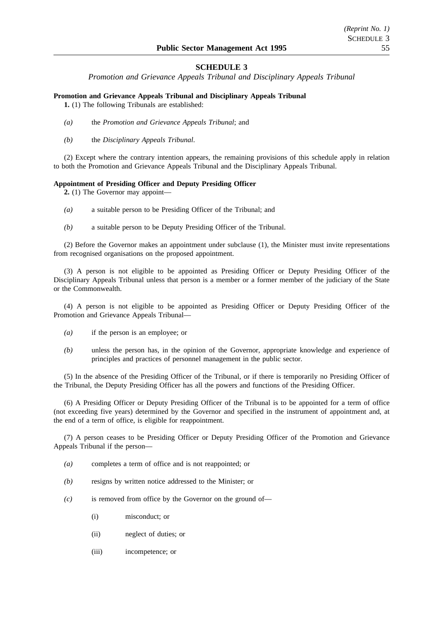## **SCHEDULE 3**

*Promotion and Grievance Appeals Tribunal and Disciplinary Appeals Tribunal*

### **Promotion and Grievance Appeals Tribunal and Disciplinary Appeals Tribunal**

**1.** (1) The following Tribunals are established:

- *(a)* the *Promotion and Grievance Appeals Tribunal*; and
- *(b)* the *Disciplinary Appeals Tribunal*.

(2) Except where the contrary intention appears, the remaining provisions of this schedule apply in relation to both the Promotion and Grievance Appeals Tribunal and the Disciplinary Appeals Tribunal.

#### **Appointment of Presiding Officer and Deputy Presiding Officer**

**2.** (1) The Governor may appoint—

- *(a)* a suitable person to be Presiding Officer of the Tribunal; and
- *(b)* a suitable person to be Deputy Presiding Officer of the Tribunal.

(2) Before the Governor makes an appointment under subclause (1), the Minister must invite representations from recognised organisations on the proposed appointment.

(3) A person is not eligible to be appointed as Presiding Officer or Deputy Presiding Officer of the Disciplinary Appeals Tribunal unless that person is a member or a former member of the judiciary of the State or the Commonwealth.

(4) A person is not eligible to be appointed as Presiding Officer or Deputy Presiding Officer of the Promotion and Grievance Appeals Tribunal—

- *(a)* if the person is an employee; or
- *(b)* unless the person has, in the opinion of the Governor, appropriate knowledge and experience of principles and practices of personnel management in the public sector.

(5) In the absence of the Presiding Officer of the Tribunal, or if there is temporarily no Presiding Officer of the Tribunal, the Deputy Presiding Officer has all the powers and functions of the Presiding Officer.

(6) A Presiding Officer or Deputy Presiding Officer of the Tribunal is to be appointed for a term of office (not exceeding five years) determined by the Governor and specified in the instrument of appointment and, at the end of a term of office, is eligible for reappointment.

(7) A person ceases to be Presiding Officer or Deputy Presiding Officer of the Promotion and Grievance Appeals Tribunal if the person—

- *(a)* completes a term of office and is not reappointed; or
- *(b)* resigns by written notice addressed to the Minister; or
- *(c)* is removed from office by the Governor on the ground of—
	- (i) misconduct; or
	- (ii) neglect of duties; or
	- (iii) incompetence; or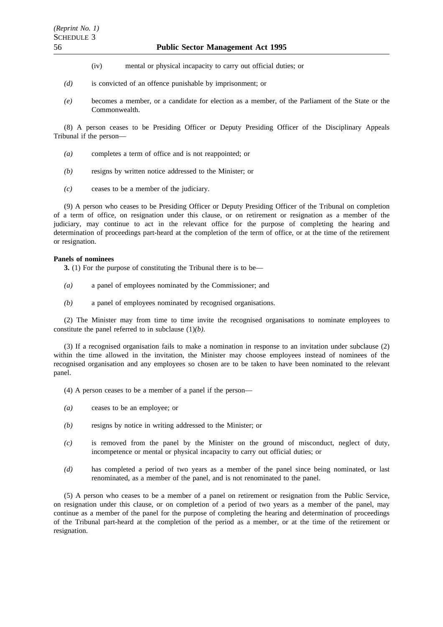- (iv) mental or physical incapacity to carry out official duties; or
- *(d)* is convicted of an offence punishable by imprisonment; or
- *(e)* becomes a member, or a candidate for election as a member, of the Parliament of the State or the Commonwealth.

(8) A person ceases to be Presiding Officer or Deputy Presiding Officer of the Disciplinary Appeals Tribunal if the person—

- *(a)* completes a term of office and is not reappointed; or
- *(b)* resigns by written notice addressed to the Minister; or
- *(c)* ceases to be a member of the judiciary.

(9) A person who ceases to be Presiding Officer or Deputy Presiding Officer of the Tribunal on completion of a term of office, on resignation under this clause, or on retirement or resignation as a member of the judiciary, may continue to act in the relevant office for the purpose of completing the hearing and determination of proceedings part-heard at the completion of the term of office, or at the time of the retirement or resignation.

#### **Panels of nominees**

**3.** (1) For the purpose of constituting the Tribunal there is to be—

- *(a)* a panel of employees nominated by the Commissioner; and
- *(b)* a panel of employees nominated by recognised organisations.

(2) The Minister may from time to time invite the recognised organisations to nominate employees to constitute the panel referred to in subclause (1)*(b)*.

(3) If a recognised organisation fails to make a nomination in response to an invitation under subclause (2) within the time allowed in the invitation, the Minister may choose employees instead of nominees of the recognised organisation and any employees so chosen are to be taken to have been nominated to the relevant panel.

(4) A person ceases to be a member of a panel if the person—

- *(a)* ceases to be an employee; or
- *(b)* resigns by notice in writing addressed to the Minister; or
- *(c)* is removed from the panel by the Minister on the ground of misconduct, neglect of duty, incompetence or mental or physical incapacity to carry out official duties; or
- *(d)* has completed a period of two years as a member of the panel since being nominated, or last renominated, as a member of the panel, and is not renominated to the panel.

(5) A person who ceases to be a member of a panel on retirement or resignation from the Public Service, on resignation under this clause, or on completion of a period of two years as a member of the panel, may continue as a member of the panel for the purpose of completing the hearing and determination of proceedings of the Tribunal part-heard at the completion of the period as a member, or at the time of the retirement or resignation.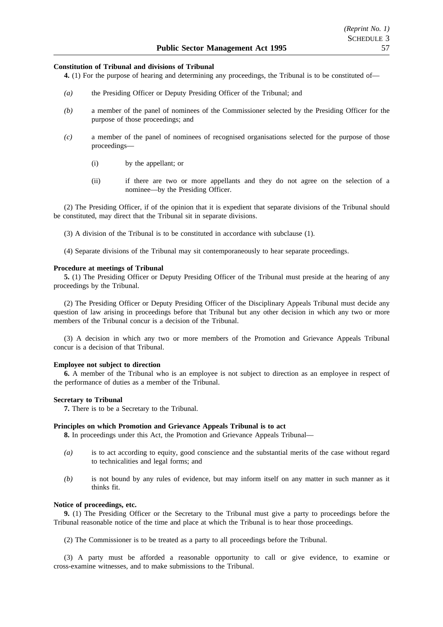#### **Constitution of Tribunal and divisions of Tribunal**

**4.** (1) For the purpose of hearing and determining any proceedings, the Tribunal is to be constituted of—

- *(a)* the Presiding Officer or Deputy Presiding Officer of the Tribunal; and
- *(b)* a member of the panel of nominees of the Commissioner selected by the Presiding Officer for the purpose of those proceedings; and
- *(c)* a member of the panel of nominees of recognised organisations selected for the purpose of those proceedings—
	- (i) by the appellant; or
	- (ii) if there are two or more appellants and they do not agree on the selection of a nominee—by the Presiding Officer.

(2) The Presiding Officer, if of the opinion that it is expedient that separate divisions of the Tribunal should be constituted, may direct that the Tribunal sit in separate divisions.

(3) A division of the Tribunal is to be constituted in accordance with subclause (1).

(4) Separate divisions of the Tribunal may sit contemporaneously to hear separate proceedings.

#### **Procedure at meetings of Tribunal**

**5.** (1) The Presiding Officer or Deputy Presiding Officer of the Tribunal must preside at the hearing of any proceedings by the Tribunal.

(2) The Presiding Officer or Deputy Presiding Officer of the Disciplinary Appeals Tribunal must decide any question of law arising in proceedings before that Tribunal but any other decision in which any two or more members of the Tribunal concur is a decision of the Tribunal.

(3) A decision in which any two or more members of the Promotion and Grievance Appeals Tribunal concur is a decision of that Tribunal.

#### **Employee not subject to direction**

**6.** A member of the Tribunal who is an employee is not subject to direction as an employee in respect of the performance of duties as a member of the Tribunal.

#### **Secretary to Tribunal**

**7.** There is to be a Secretary to the Tribunal.

#### **Principles on which Promotion and Grievance Appeals Tribunal is to act**

**8.** In proceedings under this Act, the Promotion and Grievance Appeals Tribunal—

- *(a)* is to act according to equity, good conscience and the substantial merits of the case without regard to technicalities and legal forms; and
- *(b)* is not bound by any rules of evidence, but may inform itself on any matter in such manner as it thinks fit.

#### **Notice of proceedings, etc.**

**9.** (1) The Presiding Officer or the Secretary to the Tribunal must give a party to proceedings before the Tribunal reasonable notice of the time and place at which the Tribunal is to hear those proceedings.

(2) The Commissioner is to be treated as a party to all proceedings before the Tribunal.

(3) A party must be afforded a reasonable opportunity to call or give evidence, to examine or cross-examine witnesses, and to make submissions to the Tribunal.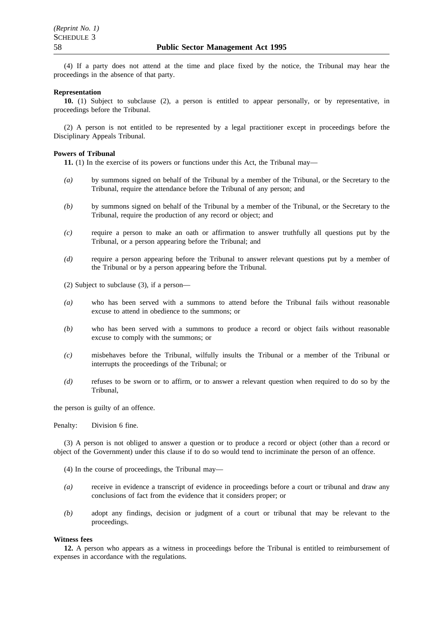(4) If a party does not attend at the time and place fixed by the notice, the Tribunal may hear the proceedings in the absence of that party.

#### **Representation**

**10.** (1) Subject to subclause (2), a person is entitled to appear personally, or by representative, in proceedings before the Tribunal.

(2) A person is not entitled to be represented by a legal practitioner except in proceedings before the Disciplinary Appeals Tribunal.

#### **Powers of Tribunal**

**11.** (1) In the exercise of its powers or functions under this Act, the Tribunal may—

- *(a)* by summons signed on behalf of the Tribunal by a member of the Tribunal, or the Secretary to the Tribunal, require the attendance before the Tribunal of any person; and
- *(b)* by summons signed on behalf of the Tribunal by a member of the Tribunal, or the Secretary to the Tribunal, require the production of any record or object; and
- *(c)* require a person to make an oath or affirmation to answer truthfully all questions put by the Tribunal, or a person appearing before the Tribunal; and
- *(d)* require a person appearing before the Tribunal to answer relevant questions put by a member of the Tribunal or by a person appearing before the Tribunal.
- (2) Subject to subclause (3), if a person—
- *(a)* who has been served with a summons to attend before the Tribunal fails without reasonable excuse to attend in obedience to the summons; or
- *(b)* who has been served with a summons to produce a record or object fails without reasonable excuse to comply with the summons; or
- *(c)* misbehaves before the Tribunal, wilfully insults the Tribunal or a member of the Tribunal or interrupts the proceedings of the Tribunal; or
- *(d)* refuses to be sworn or to affirm, or to answer a relevant question when required to do so by the Tribunal,

the person is guilty of an offence.

Penalty: Division 6 fine.

(3) A person is not obliged to answer a question or to produce a record or object (other than a record or object of the Government) under this clause if to do so would tend to incriminate the person of an offence.

- (4) In the course of proceedings, the Tribunal may—
- *(a)* receive in evidence a transcript of evidence in proceedings before a court or tribunal and draw any conclusions of fact from the evidence that it considers proper; or
- *(b)* adopt any findings, decision or judgment of a court or tribunal that may be relevant to the proceedings.

#### **Witness fees**

**12.** A person who appears as a witness in proceedings before the Tribunal is entitled to reimbursement of expenses in accordance with the regulations.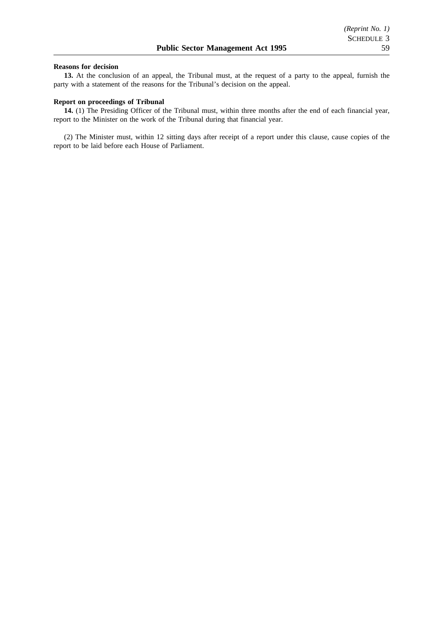#### **Reasons for decision**

**13.** At the conclusion of an appeal, the Tribunal must, at the request of a party to the appeal, furnish the party with a statement of the reasons for the Tribunal's decision on the appeal.

#### **Report on proceedings of Tribunal**

**14.** (1) The Presiding Officer of the Tribunal must, within three months after the end of each financial year, report to the Minister on the work of the Tribunal during that financial year.

(2) The Minister must, within 12 sitting days after receipt of a report under this clause, cause copies of the report to be laid before each House of Parliament.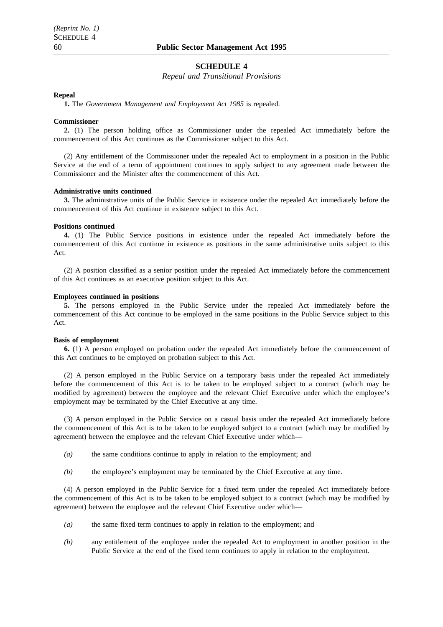#### **SCHEDULE 4**

*Repeal and Transitional Provisions*

#### **Repeal**

**1.** The *Government Management and Employment Act 1985* is repealed.

#### **Commissioner**

**2.** (1) The person holding office as Commissioner under the repealed Act immediately before the commencement of this Act continues as the Commissioner subject to this Act.

(2) Any entitlement of the Commissioner under the repealed Act to employment in a position in the Public Service at the end of a term of appointment continues to apply subject to any agreement made between the Commissioner and the Minister after the commencement of this Act.

#### **Administrative units continued**

**3.** The administrative units of the Public Service in existence under the repealed Act immediately before the commencement of this Act continue in existence subject to this Act.

#### **Positions continued**

**4.** (1) The Public Service positions in existence under the repealed Act immediately before the commencement of this Act continue in existence as positions in the same administrative units subject to this Act.

(2) A position classified as a senior position under the repealed Act immediately before the commencement of this Act continues as an executive position subject to this Act.

#### **Employees continued in positions**

**5.** The persons employed in the Public Service under the repealed Act immediately before the commencement of this Act continue to be employed in the same positions in the Public Service subject to this Act.

#### **Basis of employment**

**6.** (1) A person employed on probation under the repealed Act immediately before the commencement of this Act continues to be employed on probation subject to this Act.

(2) A person employed in the Public Service on a temporary basis under the repealed Act immediately before the commencement of this Act is to be taken to be employed subject to a contract (which may be modified by agreement) between the employee and the relevant Chief Executive under which the employee's employment may be terminated by the Chief Executive at any time.

(3) A person employed in the Public Service on a casual basis under the repealed Act immediately before the commencement of this Act is to be taken to be employed subject to a contract (which may be modified by agreement) between the employee and the relevant Chief Executive under which—

- *(a)* the same conditions continue to apply in relation to the employment; and
- *(b)* the employee's employment may be terminated by the Chief Executive at any time.

(4) A person employed in the Public Service for a fixed term under the repealed Act immediately before the commencement of this Act is to be taken to be employed subject to a contract (which may be modified by agreement) between the employee and the relevant Chief Executive under which—

- *(a)* the same fixed term continues to apply in relation to the employment; and
- *(b)* any entitlement of the employee under the repealed Act to employment in another position in the Public Service at the end of the fixed term continues to apply in relation to the employment.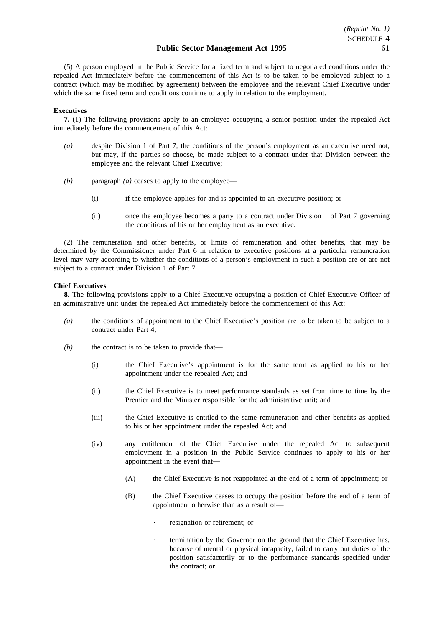(5) A person employed in the Public Service for a fixed term and subject to negotiated conditions under the repealed Act immediately before the commencement of this Act is to be taken to be employed subject to a contract (which may be modified by agreement) between the employee and the relevant Chief Executive under which the same fixed term and conditions continue to apply in relation to the employment.

#### **Executives**

**7.** (1) The following provisions apply to an employee occupying a senior position under the repealed Act immediately before the commencement of this Act:

- *(a)* despite Division 1 of Part 7, the conditions of the person's employment as an executive need not, but may, if the parties so choose, be made subject to a contract under that Division between the employee and the relevant Chief Executive;
- *(b)* paragraph *(a)* ceases to apply to the employee—
	- (i) if the employee applies for and is appointed to an executive position; or
	- (ii) once the employee becomes a party to a contract under Division 1 of Part 7 governing the conditions of his or her employment as an executive.

(2) The remuneration and other benefits, or limits of remuneration and other benefits, that may be determined by the Commissioner under Part 6 in relation to executive positions at a particular remuneration level may vary according to whether the conditions of a person's employment in such a position are or are not subject to a contract under Division 1 of Part 7.

#### **Chief Executives**

**8.** The following provisions apply to a Chief Executive occupying a position of Chief Executive Officer of an administrative unit under the repealed Act immediately before the commencement of this Act:

- *(a)* the conditions of appointment to the Chief Executive's position are to be taken to be subject to a contract under Part 4;
- *(b)* the contract is to be taken to provide that—
	- (i) the Chief Executive's appointment is for the same term as applied to his or her appointment under the repealed Act; and
	- (ii) the Chief Executive is to meet performance standards as set from time to time by the Premier and the Minister responsible for the administrative unit; and
	- (iii) the Chief Executive is entitled to the same remuneration and other benefits as applied to his or her appointment under the repealed Act; and
	- (iv) any entitlement of the Chief Executive under the repealed Act to subsequent employment in a position in the Public Service continues to apply to his or her appointment in the event that—
		- (A) the Chief Executive is not reappointed at the end of a term of appointment; or
		- (B) the Chief Executive ceases to occupy the position before the end of a term of appointment otherwise than as a result of
			- resignation or retirement; or
			- termination by the Governor on the ground that the Chief Executive has, because of mental or physical incapacity, failed to carry out duties of the position satisfactorily or to the performance standards specified under the contract; or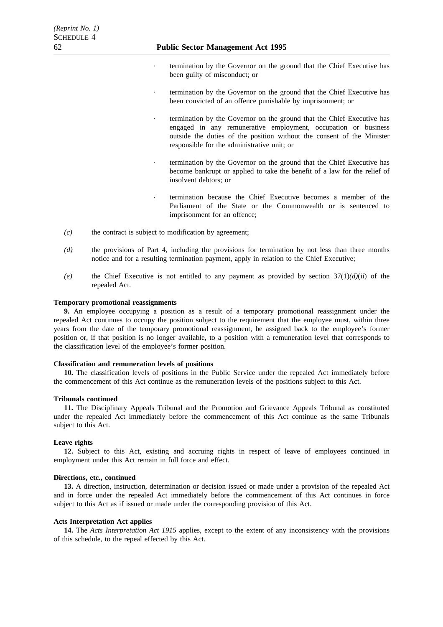- termination by the Governor on the ground that the Chief Executive has been guilty of misconduct; or
- termination by the Governor on the ground that the Chief Executive has been convicted of an offence punishable by imprisonment; or
- termination by the Governor on the ground that the Chief Executive has engaged in any remunerative employment, occupation or business outside the duties of the position without the consent of the Minister responsible for the administrative unit; or
- termination by the Governor on the ground that the Chief Executive has become bankrupt or applied to take the benefit of a law for the relief of insolvent debtors; or
- termination because the Chief Executive becomes a member of the Parliament of the State or the Commonwealth or is sentenced to imprisonment for an offence;
- *(c)* the contract is subject to modification by agreement;
- *(d)* the provisions of Part 4, including the provisions for termination by not less than three months notice and for a resulting termination payment, apply in relation to the Chief Executive;
- *(e)* the Chief Executive is not entitled to any payment as provided by section 37(1)*(d)*(ii) of the repealed Act.

#### **Temporary promotional reassignments**

**9.** An employee occupying a position as a result of a temporary promotional reassignment under the repealed Act continues to occupy the position subject to the requirement that the employee must, within three years from the date of the temporary promotional reassignment, be assigned back to the employee's former position or, if that position is no longer available, to a position with a remuneration level that corresponds to the classification level of the employee's former position.

#### **Classification and remuneration levels of positions**

**10.** The classification levels of positions in the Public Service under the repealed Act immediately before the commencement of this Act continue as the remuneration levels of the positions subject to this Act.

#### **Tribunals continued**

**11.** The Disciplinary Appeals Tribunal and the Promotion and Grievance Appeals Tribunal as constituted under the repealed Act immediately before the commencement of this Act continue as the same Tribunals subject to this Act.

#### **Leave rights**

**12.** Subject to this Act, existing and accruing rights in respect of leave of employees continued in employment under this Act remain in full force and effect.

#### **Directions, etc., continued**

**13.** A direction, instruction, determination or decision issued or made under a provision of the repealed Act and in force under the repealed Act immediately before the commencement of this Act continues in force subject to this Act as if issued or made under the corresponding provision of this Act.

#### **Acts Interpretation Act applies**

**14.** The *Acts Interpretation Act 1915* applies, except to the extent of any inconsistency with the provisions of this schedule, to the repeal effected by this Act.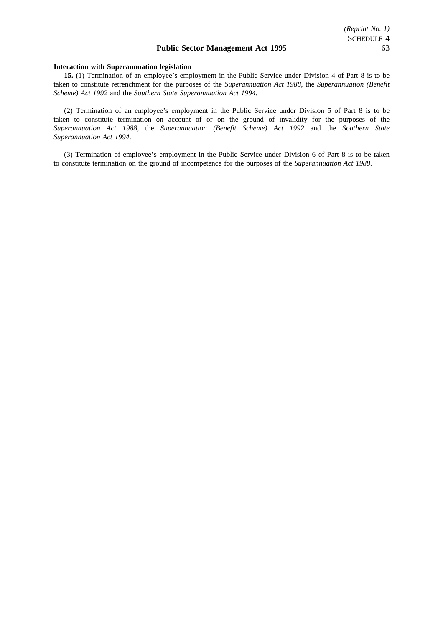#### **Interaction with Superannuation legislation**

**15.** (1) Termination of an employee's employment in the Public Service under Division 4 of Part 8 is to be taken to constitute retrenchment for the purposes of the *Superannuation Act 1988*, the *Superannuation (Benefit Scheme) Act 1992* and the *Southern State Superannuation Act 1994.*

(2) Termination of an employee's employment in the Public Service under Division 5 of Part 8 is to be taken to constitute termination on account of or on the ground of invalidity for the purposes of the *Superannuation Act 1988*, the *Superannuation (Benefit Scheme) Act 1992* and the *Southern State Superannuation Act 1994*.

(3) Termination of employee's employment in the Public Service under Division 6 of Part 8 is to be taken to constitute termination on the ground of incompetence for the purposes of the *Superannuation Act 1988*.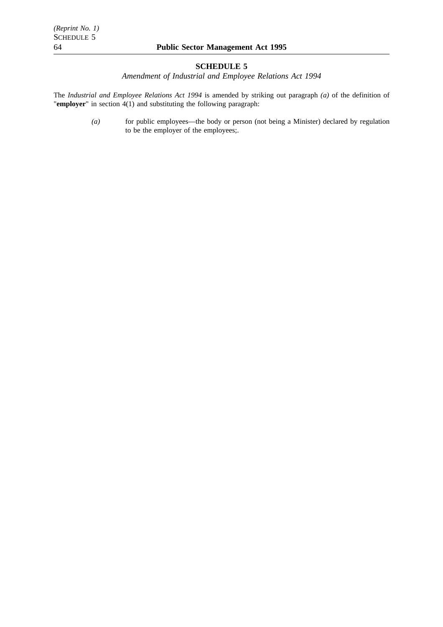## **SCHEDULE 5**

*Amendment of Industrial and Employee Relations Act 1994*

The *Industrial and Employee Relations Act 1994* is amended by striking out paragraph *(a)* of the definition of "**employer**" in section 4(1) and substituting the following paragraph:

> *(a)* for public employees—the body or person (not being a Minister) declared by regulation to be the employer of the employees;.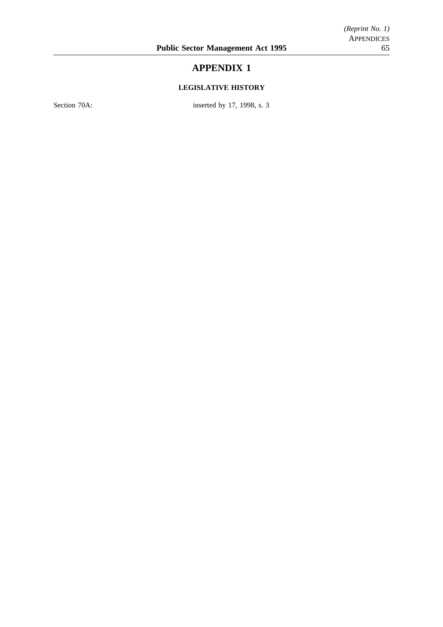# **APPENDIX 1**

## **LEGISLATIVE HISTORY**

Section 70A: inserted by 17, 1998, s. 3